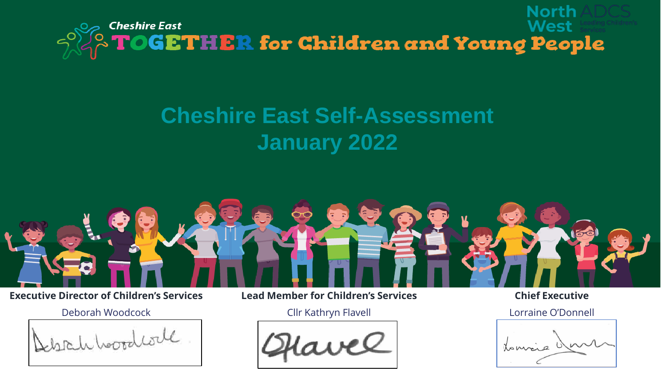

# **Cheshire East Self-Assessment January 2022**



**Executive Director of Children's Services Lead Member for Children's Services Chief Executive** 

Deborah Woodcock Cllr Kathryn Flavell Lorraine O'Donnell

Debrahhoodcock

donnée d'u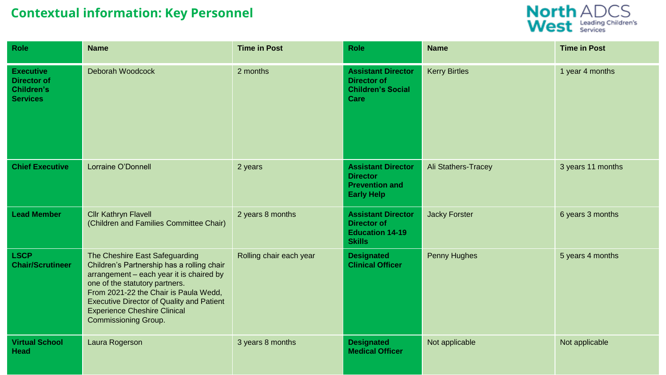# **Contextual information: Key Personnel**



| <b>Role</b>                                                                    | <b>Name</b>                                                                                                                                                                                                                                                                                                                   | <b>Time in Post</b>     | <b>Role</b>                                                                                | <b>Name</b>          | <b>Time in Post</b> |
|--------------------------------------------------------------------------------|-------------------------------------------------------------------------------------------------------------------------------------------------------------------------------------------------------------------------------------------------------------------------------------------------------------------------------|-------------------------|--------------------------------------------------------------------------------------------|----------------------|---------------------|
| <b>Executive</b><br><b>Director of</b><br><b>Children's</b><br><b>Services</b> | Deborah Woodcock                                                                                                                                                                                                                                                                                                              | 2 months                | <b>Assistant Director</b><br><b>Director of</b><br><b>Children's Social</b><br><b>Care</b> | <b>Kerry Birtles</b> | 1 year 4 months     |
| <b>Chief Executive</b>                                                         | Lorraine O'Donnell                                                                                                                                                                                                                                                                                                            | 2 years                 | <b>Assistant Director</b><br><b>Director</b><br><b>Prevention and</b><br><b>Early Help</b> | Ali Stathers-Tracey  | 3 years 11 months   |
| <b>Lead Member</b>                                                             | <b>Cllr Kathryn Flavell</b><br>(Children and Families Committee Chair)                                                                                                                                                                                                                                                        | 2 years 8 months        | <b>Assistant Director</b><br><b>Director of</b><br><b>Education 14-19</b><br><b>Skills</b> | <b>Jacky Forster</b> | 6 years 3 months    |
| <b>LSCP</b><br><b>Chair/Scrutineer</b>                                         | The Cheshire East Safeguarding<br>Children's Partnership has a rolling chair<br>arrangement - each year it is chaired by<br>one of the statutory partners.<br>From 2021-22 the Chair is Paula Wedd,<br><b>Executive Director of Quality and Patient</b><br><b>Experience Cheshire Clinical</b><br><b>Commissioning Group.</b> | Rolling chair each year | <b>Designated</b><br><b>Clinical Officer</b>                                               | <b>Penny Hughes</b>  | 5 years 4 months    |
| <b>Virtual School</b><br><b>Head</b>                                           | Laura Rogerson                                                                                                                                                                                                                                                                                                                | 3 years 8 months        | <b>Designated</b><br><b>Medical Officer</b>                                                | Not applicable       | Not applicable      |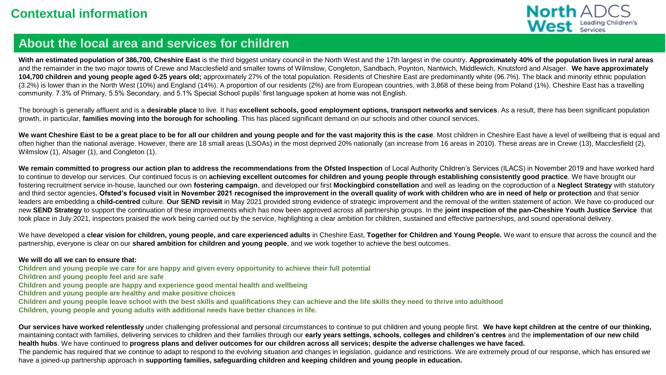

#### **About the local area and services for children**

With an estimated population of 386,700, Cheshire East is the third biggest unitary council in the North West and the 17th largest in the country. Approximately 40% of the population lives in rural areas and the remainder in the two major towns of Crewe and Macclesfield and smaller towns of Wilmslow, Congleton, Sandbach, Poynton, Nantwich, Middlewich, Knutsford and Alsager. **We have approximately 104,700 children and young people aged 0-25 years old;** approximately 27% of the total population. Residents of Cheshire East are predominantly white (96.7%). The black and minority ethnic population (3.2%) is lower than in the North West (10%) and England (14%). A proportion of our residents (2%) are from European countries, with 3,868 of these being from Poland (1%). Cheshire East has a travelling community. 7.3% of Primary, 5.5% Secondary, and 5.1% Special School pupils' first language spoken at home was not English.

The borough is generally affluent and is a **desirable place** to live. It has **excellent schools, good employment options, transport networks and services**. As a result, there has been significant population growth, in particular, **families moving into the borough for schooling**. This has placed significant demand on our schools and other council services.

We want Cheshire East to be a great place to be for all our children and young people and for the vast majority this is the case. Most children in Cheshire East have a level of wellbeing that is equal and often higher than the national average. However, there are 18 small areas (LSOAs) in the most deprived 20% nationally (an increase from 16 areas in 2010). These areas are in Crewe (13), Macclesfield (2), Wilmslow (1), Alsager (1), and Congleton (1).

We remain committed to progress our action plan to address the recommendations from the Ofsted Inspection of Local Authority Children's Services (ILACS) in November 2019 and have worked hard to continue to develop our services. Our continued focus is on **achieving excellent outcomes for children and young people through establishing consistently good practice**. We have brought our fostering recruitment service in-house, launched our own **fostering campaign**, and developed our first **Mockingbird constellation** and well as leading on the coproduction of a **Neglect Strategy** with statutory and third sector agencies**. Ofsted's focused visit in November 2021 recognised the improvement in the overall quality of work with children who are in need of help or protection** and that senior leaders are embedding a child-centred culture. Our SEND revisit in May 2021 provided strong evidence of strategic improvement and the removal of the written statement of action. We have co-produced our new **SEND Strategy** to support the continuation of these improvements which has now been approved across all partnership groups. In the **joint inspection of the pan-Cheshire Youth Justice Service** that took place in July 2021, inspectors praised the work being carried out by the service, highlighting a clear ambition for children, sustained and effective partnerships, and sound operational delivery.

We have developed a **clear vision for children, young people, and care experienced adults** in Cheshire East, **Together for Children and Young People.** We want to ensure that across the council and the partnership, everyone is clear on our **shared ambition for children and young people**, and we work together to achieve the best outcomes.

#### **We will do all we can to ensure that:**

**Children and young people we care for are happy and given every opportunity to achieve their full potential**

**Children and young people feel and are safe**

**Children and young people are happy and experience good mental health and wellbeing**

**Children and young people are healthy and make positive choices**

**Children and young people leave school with the best skills and qualifications they can achieve and the life skills they need to thrive into adulthood**

**Children, young people and young adults with additional needs have better chances in life.**

**Our services have worked relentlessly** under challenging professional and personal circumstances to continue to put children and young people first. **We have kept children at the centre of our thinking,**  maintaining contact with families, delivering services to children and their families through our **early years settings, schools, colleges and children's centres** and the **implementation of our new child health hubs**. We have continued to **progress plans and deliver outcomes for our children across all services; despite the adverse challenges we have faced.**

The pandemic has required that we continue to adapt to respond to the evolving situation and changes in legislation, quidance and restrictions. We are extremely proud of our response, which has ensured we have a joined-up partnership approach in **supporting families, safeguarding children and keeping children and young people in education.**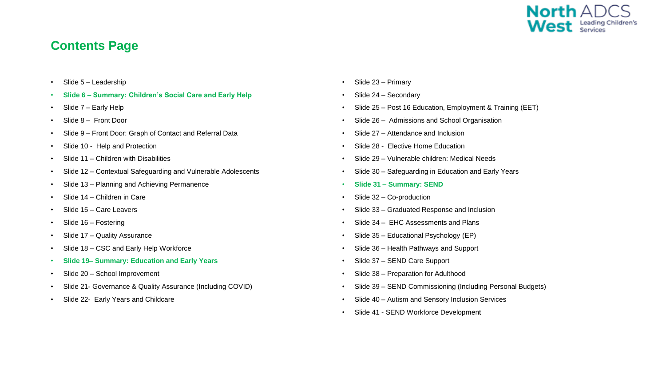

#### **Contents Page**

- Slide 5 Leadership
- **Slide 6 – Summary: Children's Social Care and Early Help**
- Slide 7 Early Help
- Slide 8 Front Door
- Slide 9 Front Door: Graph of Contact and Referral Data
- Slide 10 Help and Protection
- Slide 11 Children with Disabilities
- Slide 12 Contextual Safeguarding and Vulnerable Adolescents
- Slide 13 Planning and Achieving Permanence
- Slide 14 Children in Care
- Slide 15 Care Leavers
- Slide 16 Fostering
- Slide 17 Quality Assurance
- Slide 18 CSC and Early Help Workforce
- **Slide 19– Summary: Education and Early Years**
- Slide 20 School Improvement
- Slide 21- Governance & Quality Assurance (Including COVID)
- Slide 22- Early Years and Childcare
- Slide 23 Primary
- Slide 24 Secondary
- Slide 25 Post 16 Education, Employment & Training (EET)
- Slide 26 Admissions and School Organisation
- Slide 27 Attendance and Inclusion
- Slide 28 Elective Home Education
- Slide 29 Vulnerable children: Medical Needs
- Slide 30 Safeguarding in Education and Early Years
- **Slide 31 – Summary: SEND**
- Slide 32 Co-production
- Slide 33 Graduated Response and Inclusion
- Slide 34 EHC Assessments and Plans
- Slide 35 Educational Psychology (EP)
- Slide 36 Health Pathways and Support
- Slide 37 SEND Care Support
- Slide 38 Preparation for Adulthood
- Slide 39 SEND Commissioning (Including Personal Budgets)
- Slide 40 Autism and Sensory Inclusion Services
- Slide 41 SEND Workforce Development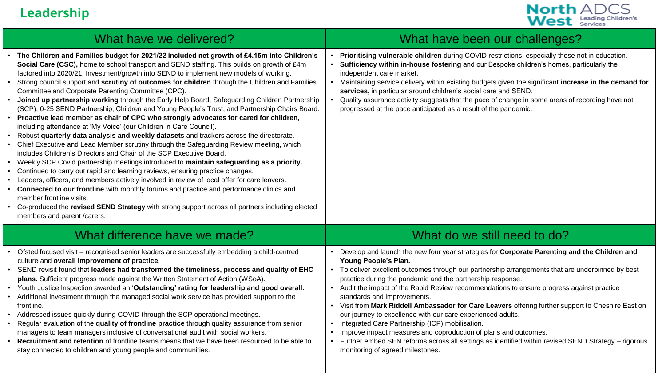# **Leadership**



| What have we delivered?                                                                                                                                                                                                                                                                                                                                                                                                                                                                                                                                                                                                                                                                                                                                                                                                                                                                                                                                                                                                                                                                                                                                                                                                                                                                                                                                                                                                                                                                                                                                                                                        | What have been our challenges?                                                                                                                                                                                                                                                                                                                                                                                                                                                                                                                                                                                                                                                                                                                                                                                                                       |
|----------------------------------------------------------------------------------------------------------------------------------------------------------------------------------------------------------------------------------------------------------------------------------------------------------------------------------------------------------------------------------------------------------------------------------------------------------------------------------------------------------------------------------------------------------------------------------------------------------------------------------------------------------------------------------------------------------------------------------------------------------------------------------------------------------------------------------------------------------------------------------------------------------------------------------------------------------------------------------------------------------------------------------------------------------------------------------------------------------------------------------------------------------------------------------------------------------------------------------------------------------------------------------------------------------------------------------------------------------------------------------------------------------------------------------------------------------------------------------------------------------------------------------------------------------------------------------------------------------------|------------------------------------------------------------------------------------------------------------------------------------------------------------------------------------------------------------------------------------------------------------------------------------------------------------------------------------------------------------------------------------------------------------------------------------------------------------------------------------------------------------------------------------------------------------------------------------------------------------------------------------------------------------------------------------------------------------------------------------------------------------------------------------------------------------------------------------------------------|
| The Children and Families budget for 2021/22 included net growth of £4.15m into Children's<br>Social Care (CSC), home to school transport and SEND staffing. This builds on growth of £4m<br>factored into 2020/21. Investment/growth into SEND to implement new models of working.<br>Strong council support and scrutiny of outcomes for children through the Children and Families<br>Committee and Corporate Parenting Committee (CPC).<br>Joined up partnership working through the Early Help Board, Safeguarding Children Partnership<br>(SCP), 0-25 SEND Partnership, Children and Young People's Trust, and Partnership Chairs Board.<br>Proactive lead member as chair of CPC who strongly advocates for cared for children,<br>including attendance at 'My Voice' (our Children in Care Council).<br>Robust quarterly data analysis and weekly datasets and trackers across the directorate.<br>Chief Executive and Lead Member scrutiny through the Safeguarding Review meeting, which<br>includes Children's Directors and Chair of the SCP Executive Board.<br>Weekly SCP Covid partnership meetings introduced to maintain safeguarding as a priority.<br>Continued to carry out rapid and learning reviews, ensuring practice changes.<br>Leaders, officers, and members actively involved in review of local offer for care leavers.<br>Connected to our frontline with monthly forums and practice and performance clinics and<br>member frontline visits.<br>Co-produced the revised SEND Strategy with strong support across all partners including elected<br>members and parent /carers. | Prioritising vulnerable children during COVID restrictions, especially those not in education.<br>Sufficiency within in-house fostering and our Bespoke children's homes, particularly the<br>independent care market.<br>Maintaining service delivery within existing budgets given the significant increase in the demand for<br>services, in particular around children's social care and SEND.<br>Quality assurance activity suggests that the pace of change in some areas of recording have not<br>progressed at the pace anticipated as a result of the pandemic.                                                                                                                                                                                                                                                                             |
| What difference have we made?                                                                                                                                                                                                                                                                                                                                                                                                                                                                                                                                                                                                                                                                                                                                                                                                                                                                                                                                                                                                                                                                                                                                                                                                                                                                                                                                                                                                                                                                                                                                                                                  | What do we still need to do?                                                                                                                                                                                                                                                                                                                                                                                                                                                                                                                                                                                                                                                                                                                                                                                                                         |
| Ofsted focused visit - recognised senior leaders are successfully embedding a child-centred<br>culture and overall improvement of practice.<br>SEND revisit found that leaders had transformed the timeliness, process and quality of EHC<br>plans. Sufficient progress made against the Written Statement of Action (WSoA).<br>Youth Justice Inspection awarded an 'Outstanding' rating for leadership and good overall.<br>Additional investment through the managed social work service has provided support to the<br>frontline.<br>Addressed issues quickly during COVID through the SCP operational meetings.<br>Regular evaluation of the quality of frontline practice through quality assurance from senior<br>managers to team managers inclusive of conversational audit with social workers.<br>Recruitment and retention of frontline teams means that we have been resourced to be able to<br>stay connected to children and young people and communities.                                                                                                                                                                                                                                                                                                                                                                                                                                                                                                                                                                                                                                       | Develop and launch the new four year strategies for Corporate Parenting and the Children and<br>Young People's Plan.<br>To deliver excellent outcomes through our partnership arrangements that are underpinned by best<br>practice during the pandemic and the partnership response.<br>Audit the impact of the Rapid Review recommendations to ensure progress against practice<br>standards and improvements.<br>Visit from Mark Riddell Ambassador for Care Leavers offering further support to Cheshire East on<br>our journey to excellence with our care experienced adults.<br>Integrated Care Partnership (ICP) mobilisation.<br>Improve impact measures and coproduction of plans and outcomes.<br>Further embed SEN reforms across all settings as identified within revised SEND Strategy - rigorous<br>monitoring of agreed milestones. |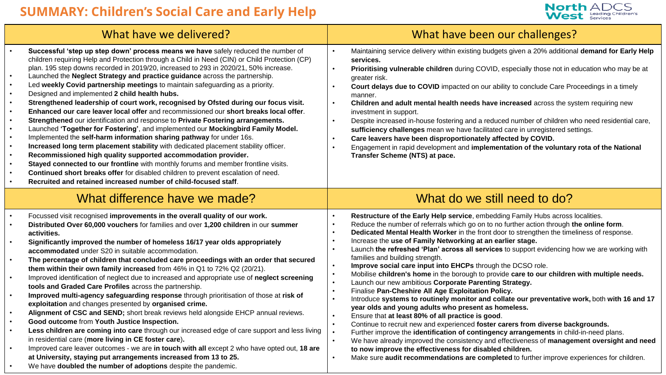## **SUMMARY: Children's Social Care and Early Help**



|                                                                                                                                             | What have we delivered?                                                                                                                                                                                                                                                                                                                                                                                                                                                                                                                                                                                                                                                                                                                                                                                                                                                                                                                                                                                                                                                                                                                                                                                                                                                                                                                    | What have been our challenges?                                                                                                                                                                                                                                                                                                                                                                                                                                                                                                                                                                                                                                                                                                                                                                                                                                                                                                                                                                                                                                                                                                                                                                                                                                                                                                                                                                                                                      |
|---------------------------------------------------------------------------------------------------------------------------------------------|--------------------------------------------------------------------------------------------------------------------------------------------------------------------------------------------------------------------------------------------------------------------------------------------------------------------------------------------------------------------------------------------------------------------------------------------------------------------------------------------------------------------------------------------------------------------------------------------------------------------------------------------------------------------------------------------------------------------------------------------------------------------------------------------------------------------------------------------------------------------------------------------------------------------------------------------------------------------------------------------------------------------------------------------------------------------------------------------------------------------------------------------------------------------------------------------------------------------------------------------------------------------------------------------------------------------------------------------|-----------------------------------------------------------------------------------------------------------------------------------------------------------------------------------------------------------------------------------------------------------------------------------------------------------------------------------------------------------------------------------------------------------------------------------------------------------------------------------------------------------------------------------------------------------------------------------------------------------------------------------------------------------------------------------------------------------------------------------------------------------------------------------------------------------------------------------------------------------------------------------------------------------------------------------------------------------------------------------------------------------------------------------------------------------------------------------------------------------------------------------------------------------------------------------------------------------------------------------------------------------------------------------------------------------------------------------------------------------------------------------------------------------------------------------------------------|
| $\bullet$<br>$\bullet$<br>$\bullet$<br>$\bullet$<br>$\bullet$<br>$\bullet$<br>$\bullet$<br>$\bullet$<br>$\bullet$<br>$\bullet$<br>$\bullet$ | Successful 'step up step down' process means we have safely reduced the number of<br>children requiring Help and Protection through a Child in Need (CIN) or Child Protection (CP)<br>plan. 195 step downs recorded in 2019/20, increased to 293 in 2020/21, 50% increase.<br>Launched the Neglect Strategy and practice guidance across the partnership.<br>Led weekly Covid partnership meetings to maintain safeguarding as a priority.<br>Designed and implemented 2 child health hubs.<br>Strengthened leadership of court work, recognised by Ofsted during our focus visit.<br>Enhanced our care leaver local offer and recommissioned our short breaks local offer.<br>Strengthened our identification and response to Private Fostering arrangements.<br>Launched 'Together for Fostering', and implemented our Mockingbird Family Model.<br>Implemented the self-harm information sharing pathway for under 16s.<br>Increased long term placement stability with dedicated placement stability officer.<br>Recommissioned high quality supported accommodation provider.<br>Stayed connected to our frontline with monthly forums and member frontline visits.<br>Continued short breaks offer for disabled children to prevent escalation of need.<br>Recruited and retained increased number of child-focused staff.           | Maintaining service delivery within existing budgets given a 20% additional demand for Early Help<br>services.<br>Prioritising vulnerable children during COVID, especially those not in education who may be at<br>greater risk.<br>Court delays due to COVID impacted on our ability to conclude Care Proceedings in a timely<br>manner.<br>Children and adult mental health needs have increased across the system requiring new<br>investment in support.<br>Despite increased in-house fostering and a reduced number of children who need residential care,<br>sufficiency challenges mean we have facilitated care in unregistered settings.<br>Care leavers have been disproportionately affected by COVID.<br>$\bullet$<br>Engagement in rapid development and implementation of the voluntary rota of the National<br>Transfer Scheme (NTS) at pace.                                                                                                                                                                                                                                                                                                                                                                                                                                                                                                                                                                                      |
|                                                                                                                                             | What difference have we made?                                                                                                                                                                                                                                                                                                                                                                                                                                                                                                                                                                                                                                                                                                                                                                                                                                                                                                                                                                                                                                                                                                                                                                                                                                                                                                              | What do we still need to do?                                                                                                                                                                                                                                                                                                                                                                                                                                                                                                                                                                                                                                                                                                                                                                                                                                                                                                                                                                                                                                                                                                                                                                                                                                                                                                                                                                                                                        |
| $\bullet$<br>$\bullet$<br>$\bullet$<br>$\bullet$<br>$\bullet$<br>$\bullet$<br>$\bullet$<br>$\bullet$<br>$\bullet$<br>$\bullet$              | Focussed visit recognised improvements in the overall quality of our work.<br>Distributed Over 60,000 vouchers for families and over 1,200 children in our summer<br>activities.<br>Significantly improved the number of homeless 16/17 year olds appropriately<br>accommodated under S20 in suitable accommodation.<br>The percentage of children that concluded care proceedings with an order that secured<br>them within their own family increased from 46% in Q1 to 72% Q2 (20/21).<br>Improved identification of neglect due to increased and appropriate use of neglect screening<br>tools and Graded Care Profiles across the partnership.<br>Improved multi-agency safeguarding response through prioritisation of those at risk of<br>exploitation and changes presented by organised crime.<br>Alignment of CSC and SEND; short break reviews held alongside EHCP annual reviews.<br>Good outcome from Youth Justice Inspection.<br>Less children are coming into care through our increased edge of care support and less living<br>in residential care (more living in CE foster care).<br>Improved care leaver outcomes - we are in touch with all except 2 who have opted out, 18 are<br>at University, staying put arrangements increased from 13 to 25.<br>We have doubled the number of adoptions despite the pandemic. | Restructure of the Early Help service, embedding Family Hubs across localities.<br>Reduce the number of referrals which go on to no further action through the online form.<br>Dedicated Mental Health Worker in the front door to strengthen the timeliness of response.<br>Increase the use of Family Networking at an earlier stage.<br>$\bullet$<br>Launch the refreshed 'Plan' across all services to support evidencing how we are working with<br>families and building strength.<br>Improve social care input into EHCPs through the DCSO role.<br>Mobilise children's home in the borough to provide care to our children with multiple needs.<br>Launch our new ambitious Corporate Parenting Strategy.<br>Finalise Pan-Cheshire All Age Exploitation Policy.<br>$\bullet$<br>Introduce systems to routinely monitor and collate our preventative work, both with 16 and 17<br>year olds and young adults who present as homeless.<br>Ensure that at least 80% of all practice is good.<br>Continue to recruit new and experienced foster carers from diverse backgrounds.<br>$\bullet$<br>Further improve the identification of contingency arrangements in child-in-need plans.<br>We have already improved the consistency and effectiveness of management oversight and need<br>to now improve the effectiveness for disabled children.<br>Make sure audit recommendations are completed to further improve experiences for children. |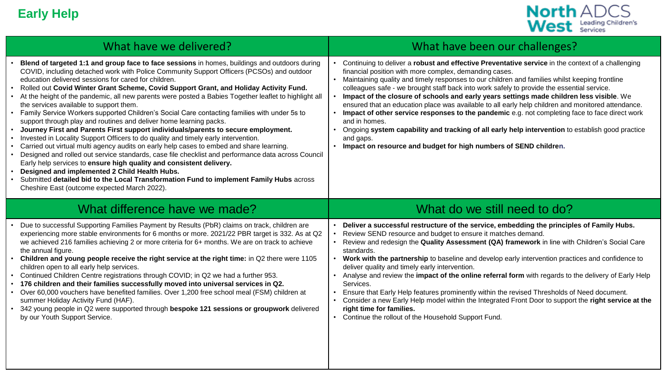

| What have we delivered?                                                                                                                                                                                                                                                                                                                                                                                                                                                                                                                                                                                                                                                                                                                                                                                                                                                                                                                                                                                                                                                                                                                                                                                                                                                                                               | What have been our challenges?                                                                                                                                                                                                                                                                                                                                                                                                                                                                                                                                                                                                                                                                                                                                                                                                                                        |
|-----------------------------------------------------------------------------------------------------------------------------------------------------------------------------------------------------------------------------------------------------------------------------------------------------------------------------------------------------------------------------------------------------------------------------------------------------------------------------------------------------------------------------------------------------------------------------------------------------------------------------------------------------------------------------------------------------------------------------------------------------------------------------------------------------------------------------------------------------------------------------------------------------------------------------------------------------------------------------------------------------------------------------------------------------------------------------------------------------------------------------------------------------------------------------------------------------------------------------------------------------------------------------------------------------------------------|-----------------------------------------------------------------------------------------------------------------------------------------------------------------------------------------------------------------------------------------------------------------------------------------------------------------------------------------------------------------------------------------------------------------------------------------------------------------------------------------------------------------------------------------------------------------------------------------------------------------------------------------------------------------------------------------------------------------------------------------------------------------------------------------------------------------------------------------------------------------------|
| Blend of targeted 1:1 and group face to face sessions in homes, buildings and outdoors during<br>COVID, including detached work with Police Community Support Officers (PCSOs) and outdoor<br>education delivered sessions for cared for children.<br>Rolled out Covid Winter Grant Scheme, Covid Support Grant, and Holiday Activity Fund.<br>At the height of the pandemic, all new parents were posted a Babies Together leaflet to highlight all<br>the services available to support them.<br>Family Service Workers supported Children's Social Care contacting families with under 5s to<br>support through play and routines and deliver home learning packs.<br>Journey First and Parents First support individuals/parents to secure employment.<br>Invested in Locality Support Officers to do quality and timely early intervention.<br>Carried out virtual multi agency audits on early help cases to embed and share learning.<br>Designed and rolled out service standards, case file checklist and performance data across Council<br>Early help services to ensure high quality and consistent delivery.<br>Designed and implemented 2 Child Health Hubs.<br>Submitted detailed bid to the Local Transformation Fund to implement Family Hubs across<br>Cheshire East (outcome expected March 2022). | Continuing to deliver a robust and effective Preventative service in the context of a challenging<br>financial position with more complex, demanding cases.<br>Maintaining quality and timely responses to our children and families whilst keeping frontline<br>colleagues safe - we brought staff back into work safely to provide the essential service.<br>Impact of the closure of schools and early years settings made children less visible. We<br>ensured that an education place was available to all early help children and monitored attendance.<br>Impact of other service responses to the pandemic e.g. not completing face to face direct work<br>and in homes.<br>Ongoing system capability and tracking of all early help intervention to establish good practice<br>and gaps.<br>Impact on resource and budget for high numbers of SEND children. |
| What difference have we made?                                                                                                                                                                                                                                                                                                                                                                                                                                                                                                                                                                                                                                                                                                                                                                                                                                                                                                                                                                                                                                                                                                                                                                                                                                                                                         | What do we still need to do?                                                                                                                                                                                                                                                                                                                                                                                                                                                                                                                                                                                                                                                                                                                                                                                                                                          |
| Due to successful Supporting Families Payment by Results (PbR) claims on track, children are<br>experiencing more stable environments for 6 months or more. 2021/22 PBR target is 332. As at Q2<br>we achieved 216 families achieving 2 or more criteria for 6+ months. We are on track to achieve<br>the annual figure.<br>Children and young people receive the right service at the right time: in Q2 there were 1105<br>children open to all early help services.<br>Continued Children Centre registrations through COVID; in Q2 we had a further 953.<br>176 children and their families successfully moved into universal services in Q2.<br>Over 60,000 vouchers have benefited families. Over 1,200 free school meal (FSM) children at<br>summer Holiday Activity Fund (HAF).<br>342 young people in Q2 were supported through bespoke 121 sessions or groupwork delivered<br>by our Youth Support Service.                                                                                                                                                                                                                                                                                                                                                                                                  | Deliver a successful restructure of the service, embedding the principles of Family Hubs.<br>Review SEND resource and budget to ensure it matches demand.<br>Review and redesign the Quality Assessment (QA) framework in line with Children's Social Care<br>standards.<br>Work with the partnership to baseline and develop early intervention practices and confidence to<br>deliver quality and timely early intervention.<br>Analyse and review the impact of the online referral form with regards to the delivery of Early Help<br>Services.<br>Ensure that Early Help features prominently within the revised Thresholds of Need document.<br>Consider a new Early Help model within the Integrated Front Door to support the right service at the<br>right time for families.<br>• Continue the rollout of the Household Support Fund.                       |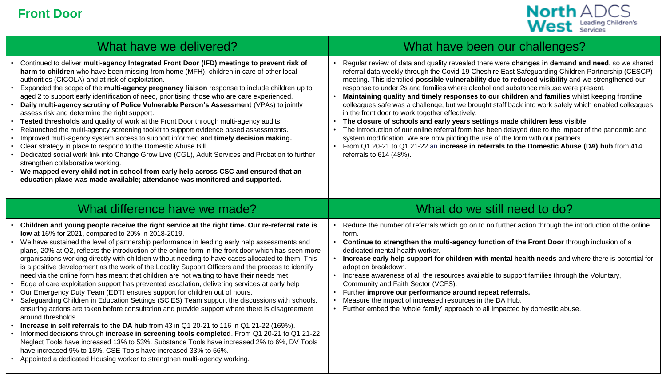

| What have we delivered?                                                                                                                                                                                                                                                                                                                                                                                                                                                                                                                                                                                                                                                                                                                                                                                                                                                                                                                                                                                                                                                                                                                                                                                                                                                                                                                                                                                                                                                                                            | What have been our challenges?                                                                                                                                                                                                                                                                                                                                                                                                                                                                                                                                                                                                                                                                                                                                                                                                                                                                                                                                                                                                                                 |
|--------------------------------------------------------------------------------------------------------------------------------------------------------------------------------------------------------------------------------------------------------------------------------------------------------------------------------------------------------------------------------------------------------------------------------------------------------------------------------------------------------------------------------------------------------------------------------------------------------------------------------------------------------------------------------------------------------------------------------------------------------------------------------------------------------------------------------------------------------------------------------------------------------------------------------------------------------------------------------------------------------------------------------------------------------------------------------------------------------------------------------------------------------------------------------------------------------------------------------------------------------------------------------------------------------------------------------------------------------------------------------------------------------------------------------------------------------------------------------------------------------------------|----------------------------------------------------------------------------------------------------------------------------------------------------------------------------------------------------------------------------------------------------------------------------------------------------------------------------------------------------------------------------------------------------------------------------------------------------------------------------------------------------------------------------------------------------------------------------------------------------------------------------------------------------------------------------------------------------------------------------------------------------------------------------------------------------------------------------------------------------------------------------------------------------------------------------------------------------------------------------------------------------------------------------------------------------------------|
| Continued to deliver multi-agency Integrated Front Door (IFD) meetings to prevent risk of<br>harm to children who have been missing from home (MFH), children in care of other local<br>authorities (CICOLA) and at risk of exploitation.<br>Expanded the scope of the multi-agency pregnancy liaison response to include children up to<br>aged 2 to support early identification of need, prioritising those who are care experienced.<br>Daily multi-agency scrutiny of Police Vulnerable Person's Assessment (VPAs) to jointly<br>assess risk and determine the right support.<br>Tested thresholds and quality of work at the Front Door through multi-agency audits.<br>Relaunched the multi-agency screening toolkit to support evidence based assessments.<br>Improved multi-agency system access to support informed and timely decision making.<br>Clear strategy in place to respond to the Domestic Abuse Bill.<br>Dedicated social work link into Change Grow Live (CGL), Adult Services and Probation to further<br>strengthen collaborative working.<br>We mapped every child not in school from early help across CSC and ensured that an<br>education place was made available; attendance was monitored and supported.                                                                                                                                                                                                                                                                           | Regular review of data and quality revealed there were changes in demand and need, so we shared<br>referral data weekly through the Covid-19 Cheshire East Safeguarding Children Partnership (CESCP)<br>meeting. This identified possible vulnerability due to reduced visibility and we strengthened our<br>response to under 2s and families where alcohol and substance misuse were present.<br>Maintaining quality and timely responses to our children and families whilst keeping frontline<br>colleagues safe was a challenge, but we brought staff back into work safely which enabled colleagues<br>in the front door to work together effectively.<br>The closure of schools and early years settings made children less visible.<br>The introduction of our online referral form has been delayed due to the impact of the pandemic and<br>system modification. We are now piloting the use of the form with our partners.<br>From Q1 20-21 to Q1 21-22 an increase in referrals to the Domestic Abuse (DA) hub from 414<br>referrals to 614 (48%). |
| What difference have we made?                                                                                                                                                                                                                                                                                                                                                                                                                                                                                                                                                                                                                                                                                                                                                                                                                                                                                                                                                                                                                                                                                                                                                                                                                                                                                                                                                                                                                                                                                      | What do we still need to do?                                                                                                                                                                                                                                                                                                                                                                                                                                                                                                                                                                                                                                                                                                                                                                                                                                                                                                                                                                                                                                   |
| Children and young people receive the right service at the right time. Our re-referral rate is<br>low at 16% for 2021, compared to 20% in 2018-2019.<br>We have sustained the level of partnership performance in leading early help assessments and<br>plans, 20% at Q2, reflects the introduction of the online form in the front door which has seen more<br>organisations working directly with children without needing to have cases allocated to them. This<br>is a positive development as the work of the Locality Support Officers and the process to identify<br>need via the online form has meant that children are not waiting to have their needs met.<br>Edge of care exploitation support has prevented escalation, delivering services at early help<br>Our Emergency Duty Team (EDT) ensures support for children out of hours.<br>Safeguarding Children in Education Settings (SCiES) Team support the discussions with schools,<br>ensuring actions are taken before consultation and provide support where there is disagreement<br>around thresholds.<br>Increase in self referrals to the DA hub from 43 in Q1 20-21 to 116 in Q1 21-22 (169%).<br>Informed decisions through increase in screening tools completed. From Q1 20-21 to Q1 21-22<br>Neglect Tools have increased 13% to 53%. Substance Tools have increased 2% to 6%, DV Tools<br>have increased 9% to 15%. CSE Tools have increased 33% to 56%.<br>Appointed a dedicated Housing worker to strengthen multi-agency working. | Reduce the number of referrals which go on to no further action through the introduction of the online<br>form.<br>Continue to strengthen the multi-agency function of the Front Door through inclusion of a<br>dedicated mental health worker.<br>Increase early help support for children with mental health needs and where there is potential for<br>adoption breakdown.<br>Increase awareness of all the resources available to support families through the Voluntary,<br>Community and Faith Sector (VCFS).<br>Further improve our performance around repeat referrals.<br>Measure the impact of increased resources in the DA Hub.<br>Further embed the 'whole family' approach to all impacted by domestic abuse.                                                                                                                                                                                                                                                                                                                                     |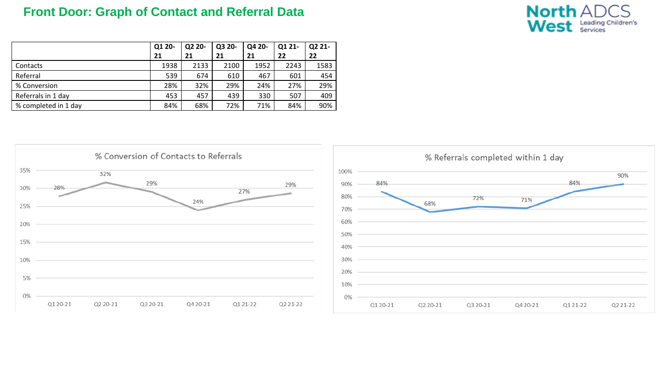#### **Front Door: Graph of Contact and Referral Data**



|                      | Q1 20- | Q2 20- | Q3 20- | Q4 20- | Q1 21- | Q2 21- |
|----------------------|--------|--------|--------|--------|--------|--------|
|                      | 21     | 21     | 21     | 21     | 22     | 22     |
| Contacts             | 1938   | 2133   | 2100   | 1952   | 2243   | 1583   |
| Referral             | 539    | 674    | 610    | 467    | 601    | 454    |
| % Conversion         | 28%    | 32%    | 29%    | 24%    | 27%    | 29%    |
| Referrals in 1 day   | 453    | 457    | 439    | 330    | 507    | 409    |
| % completed in 1 day | 84%    | 68%    | 72%    | 71%    | 84%    | 90%    |

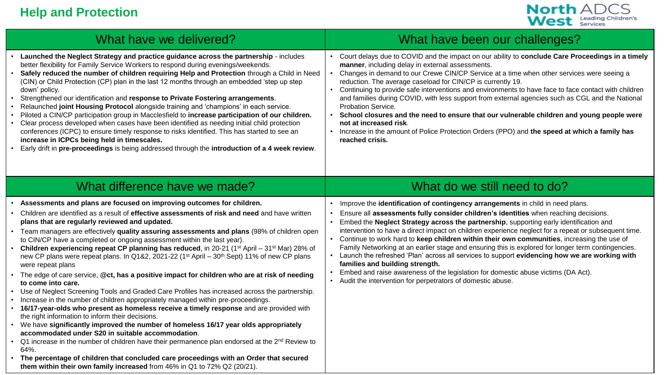#### **Help and Protection**



| What have we delivered?                                                                                                                                                                                                                                                                                                                                                                                                                                                                                                                                                                                                                                                                                                                                                                                                                                                                                                                                                                                                                                                                                                                                                                                                                                                                                                                                                                                                                                                                                                                                                          | What have been our challenges?                                                                                                                                                                                                                                                                                                                                                                                                                                                                                                                                                                                                                                                                                                                                                                                                                                                   |
|----------------------------------------------------------------------------------------------------------------------------------------------------------------------------------------------------------------------------------------------------------------------------------------------------------------------------------------------------------------------------------------------------------------------------------------------------------------------------------------------------------------------------------------------------------------------------------------------------------------------------------------------------------------------------------------------------------------------------------------------------------------------------------------------------------------------------------------------------------------------------------------------------------------------------------------------------------------------------------------------------------------------------------------------------------------------------------------------------------------------------------------------------------------------------------------------------------------------------------------------------------------------------------------------------------------------------------------------------------------------------------------------------------------------------------------------------------------------------------------------------------------------------------------------------------------------------------|----------------------------------------------------------------------------------------------------------------------------------------------------------------------------------------------------------------------------------------------------------------------------------------------------------------------------------------------------------------------------------------------------------------------------------------------------------------------------------------------------------------------------------------------------------------------------------------------------------------------------------------------------------------------------------------------------------------------------------------------------------------------------------------------------------------------------------------------------------------------------------|
| Launched the Neglect Strategy and practice guidance across the partnership - includes<br>better flexibility for Family Service Workers to respond during evenings/weekends.<br>Safely reduced the number of children requiring Help and Protection through a Child in Need<br>(CIN) or Child Protection (CP) plan in the last 12 months through an embedded 'step up step<br>down' policy.<br>Strengthened our identification and response to Private Fostering arrangements.<br>Relaunched joint Housing Protocol alongside training and 'champions' in each service.<br>Piloted a CIN/CP participation group in Macclesfield to increase participation of our children.<br>Clear process developed when cases have been identified as needing initial child protection<br>conferences (ICPC) to ensure timely response to risks identified. This has started to see an<br>increase in ICPCs being held in timescales.<br>Early drift in pre-proceedings is being addressed through the introduction of a 4 week review.                                                                                                                                                                                                                                                                                                                                                                                                                                                                                                                                                        | • Court delays due to COVID and the impact on our ability to conclude Care Proceedings in a timely<br>manner, including delay in external assessments.<br>Changes in demand to our Crewe CIN/CP Service at a time when other services were seeing a<br>reduction. The average caseload for CIN/CP is currently 19.<br>Continuing to provide safe interventions and environments to have face to face contact with children<br>and families during COVID, with less support from external agencies such as CGL and the National<br>Probation Service.<br>School closures and the need to ensure that our vulnerable children and young people were<br>not at increased risk.<br>Increase in the amount of Police Protection Orders (PPO) and the speed at which a family has<br>reached crisis.                                                                                   |
| What difference have we made?                                                                                                                                                                                                                                                                                                                                                                                                                                                                                                                                                                                                                                                                                                                                                                                                                                                                                                                                                                                                                                                                                                                                                                                                                                                                                                                                                                                                                                                                                                                                                    | What do we still need to do?                                                                                                                                                                                                                                                                                                                                                                                                                                                                                                                                                                                                                                                                                                                                                                                                                                                     |
| Assessments and plans are focused on improving outcomes for children.<br>Children are identified as a result of effective assessments of risk and need and have written<br>plans that are regularly reviewed and updated.<br>Team managers are effectively quality assuring assessments and plans (98% of children open<br>to CIN/CP have a completed or ongoing assessment within the last year).<br><b>Children experiencing repeat CP planning has reduced</b> , in 20-21 (1 <sup>st</sup> April – 31 <sup>st</sup> Mar) 28% of<br>new CP plans were repeat plans. In Q1&2, 2021-22 (1 <sup>st</sup> April – 30 <sup>th</sup> Sept) 11% of new CP plans<br>were repeat plans<br>The edge of care service, @ct, has a positive impact for children who are at risk of needing<br>to come into care.<br>Use of Neglect Screening Tools and Graded Care Profiles has increased across the partnership.<br>Increase in the number of children appropriately managed within pre-proceedings.<br>16/17-year-olds who present as homeless receive a timely response and are provided with<br>the right information to inform their decisions.<br>We have significantly improved the number of homeless 16/17 year olds appropriately<br>accommodated under S20 in suitable accommodation.<br>Q1 increase in the number of children have their permanence plan endorsed at the 2 <sup>nd</sup> Review to<br>64%.<br>The percentage of children that concluded care proceedings with an Order that secured<br>them within their own family increased from 46% in Q1 to 72% Q2 (20/21). | Improve the identification of contingency arrangements in child in need plans.<br>$\bullet$<br>Ensure all assessments fully consider children's identities when reaching decisions.<br>Embed the Neglect Strategy across the partnership, supporting early identification and<br>intervention to have a direct impact on children experience neglect for a repeat or subsequent time.<br>Continue to work hard to keep children within their own communities, increasing the use of<br>Family Networking at an earlier stage and ensuring this is explored for longer term contingencies.<br>Launch the refreshed 'Plan' across all services to support evidencing how we are working with<br>families and building strength.<br>Embed and raise awareness of the legislation for domestic abuse victims (DA Act).<br>Audit the intervention for perpetrators of domestic abuse. |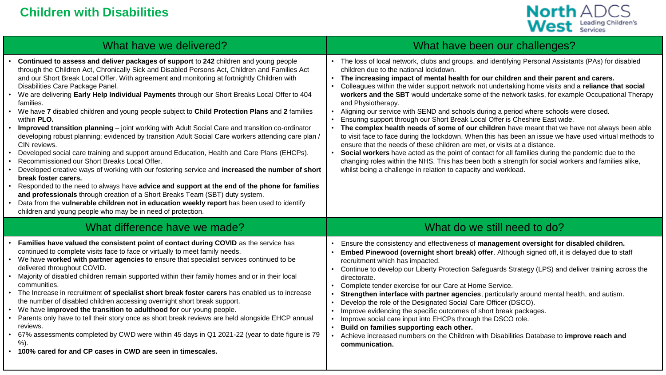

| What have we delivered?                                                                                                                                                                                                                                                                                                                                                                                                                                                                                                                                                                                                                                                                                                                                                                                                                                                                                                                                                                                                                                                                                                                                                                                                                                                                                                                                                                                 | What have been our challenges?                                                                                                                                                                                                                                                                                                                                                                                                                                                                                                                                                                                                                                                                                                                                                                                                                                                                                                                                                                                                                                                                                                                                                                                       |
|---------------------------------------------------------------------------------------------------------------------------------------------------------------------------------------------------------------------------------------------------------------------------------------------------------------------------------------------------------------------------------------------------------------------------------------------------------------------------------------------------------------------------------------------------------------------------------------------------------------------------------------------------------------------------------------------------------------------------------------------------------------------------------------------------------------------------------------------------------------------------------------------------------------------------------------------------------------------------------------------------------------------------------------------------------------------------------------------------------------------------------------------------------------------------------------------------------------------------------------------------------------------------------------------------------------------------------------------------------------------------------------------------------|----------------------------------------------------------------------------------------------------------------------------------------------------------------------------------------------------------------------------------------------------------------------------------------------------------------------------------------------------------------------------------------------------------------------------------------------------------------------------------------------------------------------------------------------------------------------------------------------------------------------------------------------------------------------------------------------------------------------------------------------------------------------------------------------------------------------------------------------------------------------------------------------------------------------------------------------------------------------------------------------------------------------------------------------------------------------------------------------------------------------------------------------------------------------------------------------------------------------|
| Continued to assess and deliver packages of support to 242 children and young people<br>through the Children Act, Chronically Sick and Disabled Persons Act, Children and Families Act<br>and our Short Break Local Offer. With agreement and monitoring at fortnightly Children with<br>Disabilities Care Package Panel.<br>We are delivering Early Help Individual Payments through our Short Breaks Local Offer to 404<br>families.<br>We have 7 disabled children and young people subject to Child Protection Plans and 2 families<br>within PLO.<br>Improved transition planning – joint working with Adult Social Care and transition co-ordinator<br>developing robust planning; evidenced by transition Adult Social Care workers attending care plan /<br>CIN reviews.<br>Developed social care training and support around Education, Health and Care Plans (EHCPs).<br>Recommissioned our Short Breaks Local Offer.<br>Developed creative ways of working with our fostering service and increased the number of short<br>break foster carers.<br>Responded to the need to always have advice and support at the end of the phone for families<br>and professionals through creation of a Short Breaks Team (SBT) duty system.<br>Data from the vulnerable children not in education weekly report has been used to identify<br>children and young people who may be in need of protection. | • The loss of local network, clubs and groups, and identifying Personal Assistants (PAs) for disabled<br>children due to the national lockdown.<br>The increasing impact of mental health for our children and their parent and carers.<br>Colleagues within the wider support network not undertaking home visits and a reliance that social<br>workers and the SBT would undertake some of the network tasks, for example Occupational Therapy<br>and Physiotherapy.<br>Aligning our service with SEND and schools during a period where schools were closed.<br>Ensuring support through our Short Break Local Offer is Cheshire East wide.<br>The complex health needs of some of our children have meant that we have not always been able<br>to visit face to face during the lockdown. When this has been an issue we have used virtual methods to<br>ensure that the needs of these children are met, or visits at a distance.<br>Social workers have acted as the point of contact for all families during the pandemic due to the<br>changing roles within the NHS. This has been both a strength for social workers and families alike,<br>whilst being a challenge in relation to capacity and workload. |
| What difference have we made?                                                                                                                                                                                                                                                                                                                                                                                                                                                                                                                                                                                                                                                                                                                                                                                                                                                                                                                                                                                                                                                                                                                                                                                                                                                                                                                                                                           | What do we still need to do?                                                                                                                                                                                                                                                                                                                                                                                                                                                                                                                                                                                                                                                                                                                                                                                                                                                                                                                                                                                                                                                                                                                                                                                         |
| Families have valued the consistent point of contact during COVID as the service has<br>continued to complete visits face to face or virtually to meet family needs.<br>We have worked with partner agencies to ensure that specialist services continued to be<br>delivered throughout COVID.<br>Majority of disabled children remain supported within their family homes and or in their local<br>communities.<br>The Increase in recruitment of specialist short break foster carers has enabled us to increase<br>the number of disabled children accessing overnight short break support.<br>We have improved the transition to adulthood for our young people.<br>Parents only have to tell their story once as short break reviews are held alongside EHCP annual<br>reviews.<br>67% assessments completed by CWD were within 45 days in Q1 2021-22 (year to date figure is 79<br>$%$ ).<br>100% cared for and CP cases in CWD are seen in timescales.                                                                                                                                                                                                                                                                                                                                                                                                                                           | Ensure the consistency and effectiveness of management oversight for disabled children.<br>Embed Pinewood (overnight short break) offer. Although signed off, it is delayed due to staff<br>recruitment which has impacted.<br>Continue to develop our Liberty Protection Safeguards Strategy (LPS) and deliver training across the<br>directorate.<br>Complete tender exercise for our Care at Home Service.<br>$\bullet$<br>Strengthen interface with partner agencies, particularly around mental health, and autism.<br>Develop the role of the Designated Social Care Officer (DSCO).<br>$\bullet$<br>Improve evidencing the specific outcomes of short break packages.<br>$\bullet$<br>Improve social care input into EHCPs through the DSCO role.<br>$\bullet$<br>Build on families supporting each other.<br>Achieve increased numbers on the Children with Disabilities Database to improve reach and<br>communication.                                                                                                                                                                                                                                                                                     |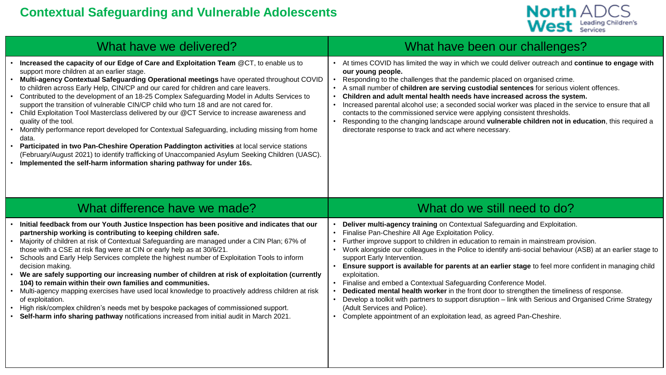#### **Contextual Safeguarding and Vulnerable Adolescents**



| What have we delivered?                                                                                                                                                                                                                                                                                                                                                                                                                                                                                                                                                                                                                                                                                                                                                                                                                                                                                                                                                                                                             | What have been our challenges?                                                                                                                                                                                                                                                                                                                                                                                                                                                                                                                                                                                                                                                                                                                                                                                                                                                   |
|-------------------------------------------------------------------------------------------------------------------------------------------------------------------------------------------------------------------------------------------------------------------------------------------------------------------------------------------------------------------------------------------------------------------------------------------------------------------------------------------------------------------------------------------------------------------------------------------------------------------------------------------------------------------------------------------------------------------------------------------------------------------------------------------------------------------------------------------------------------------------------------------------------------------------------------------------------------------------------------------------------------------------------------|----------------------------------------------------------------------------------------------------------------------------------------------------------------------------------------------------------------------------------------------------------------------------------------------------------------------------------------------------------------------------------------------------------------------------------------------------------------------------------------------------------------------------------------------------------------------------------------------------------------------------------------------------------------------------------------------------------------------------------------------------------------------------------------------------------------------------------------------------------------------------------|
| • Increased the capacity of our Edge of Care and Exploitation Team @CT, to enable us to<br>support more children at an earlier stage.<br>. Multi-agency Contextual Safeguarding Operational meetings have operated throughout COVID<br>to children across Early Help, CIN/CP and our cared for children and care leavers.<br>• Contributed to the development of an 18-25 Complex Safeguarding Model in Adults Services to<br>support the transition of vulnerable CIN/CP child who turn 18 and are not cared for.<br>• Child Exploitation Tool Masterclass delivered by our @CT Service to increase awareness and<br>quality of the tool.<br>• Monthly performance report developed for Contextual Safeguarding, including missing from home<br>data.<br>• Participated in two Pan-Cheshire Operation Paddington activities at local service stations<br>(February/August 2021) to identify trafficking of Unaccompanied Asylum Seeking Children (UASC).<br>• Implemented the self-harm information sharing pathway for under 16s. | At times COVID has limited the way in which we could deliver outreach and continue to engage with<br>our young people.<br>Responding to the challenges that the pandemic placed on organised crime.<br>A small number of children are serving custodial sentences for serious violent offences.<br>Children and adult mental health needs have increased across the system.<br>Increased parental alcohol use; a seconded social worker was placed in the service to ensure that all<br>contacts to the commissioned service were applying consistent thresholds.<br>Responding to the changing landscape around vulnerable children not in education, this required a<br>directorate response to track and act where necessary.                                                                                                                                                 |
| What difference have we made?                                                                                                                                                                                                                                                                                                                                                                                                                                                                                                                                                                                                                                                                                                                                                                                                                                                                                                                                                                                                       | What do we still need to do?                                                                                                                                                                                                                                                                                                                                                                                                                                                                                                                                                                                                                                                                                                                                                                                                                                                     |
| . Initial feedback from our Youth Justice Inspection has been positive and indicates that our<br>partnership working is contributing to keeping children safe.<br>• Majority of children at risk of Contextual Safeguarding are managed under a CIN Plan; 67% of<br>those with a CSE at risk flag were at CIN or early help as at 30/6/21.<br>• Schools and Early Help Services complete the highest number of Exploitation Tools to inform<br>decision making.<br>We are safely supporting our increasing number of children at risk of exploitation (currently<br>104) to remain within their own families and communities.<br>• Multi-agency mapping exercises have used local knowledge to proactively address children at risk<br>of exploitation.<br>High risk/complex children's needs met by bespoke packages of commissioned support.<br>Self-harm info sharing pathway notifications increased from initial audit in March 2021.                                                                                          | Deliver multi-agency training on Contextual Safeguarding and Exploitation.<br>Finalise Pan-Cheshire All Age Exploitation Policy.<br>Further improve support to children in education to remain in mainstream provision.<br>Work alongside our colleagues in the Police to identify anti-social behaviour (ASB) at an earlier stage to<br>support Early Intervention.<br>Ensure support is available for parents at an earlier stage to feel more confident in managing child<br>exploitation.<br>Finalise and embed a Contextual Safeguarding Conference Model.<br>Dedicated mental health worker in the front door to strengthen the timeliness of response.<br>Develop a toolkit with partners to support disruption - link with Serious and Organised Crime Strategy<br>(Adult Services and Police).<br>Complete appointment of an exploitation lead, as agreed Pan-Cheshire. |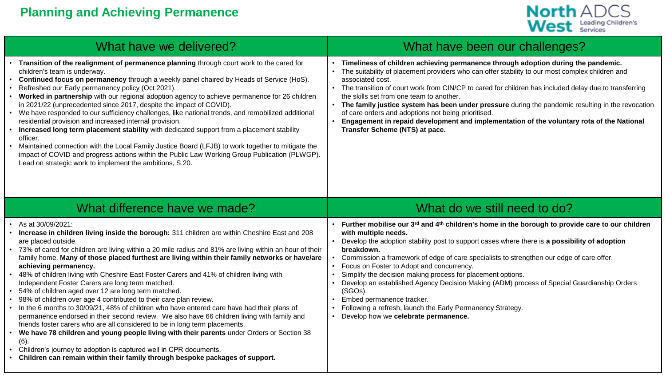#### **Planning and Achieving Permanence**



| What have we delivered?                                                                                                                                                                                                                                                                                                                                                                                                                                                                                                                                                                                                                                                                                                                                                                                                                                                                                                                                                                             | What have been our challenges?                                                                                                                                                                                                                                                                                                                                                                                                                                                                                                                                                                                                                           |
|-----------------------------------------------------------------------------------------------------------------------------------------------------------------------------------------------------------------------------------------------------------------------------------------------------------------------------------------------------------------------------------------------------------------------------------------------------------------------------------------------------------------------------------------------------------------------------------------------------------------------------------------------------------------------------------------------------------------------------------------------------------------------------------------------------------------------------------------------------------------------------------------------------------------------------------------------------------------------------------------------------|----------------------------------------------------------------------------------------------------------------------------------------------------------------------------------------------------------------------------------------------------------------------------------------------------------------------------------------------------------------------------------------------------------------------------------------------------------------------------------------------------------------------------------------------------------------------------------------------------------------------------------------------------------|
| Transition of the realignment of permanence planning through court work to the cared for<br>children's team is underway.<br>• Continued focus on permanency through a weekly panel chaired by Heads of Service (HoS).<br>Refreshed our Early permanency policy (Oct 2021).<br>• Worked in partnership with our regional adoption agency to achieve permanence for 26 children<br>in 2021/22 (unprecedented since 2017, despite the impact of COVID).<br>• We have responded to our sufficiency challenges, like national trends, and remobilized additional<br>residential provision and increased internal provision.<br>• Increased long term placement stability with dedicated support from a placement stability<br>officer.<br>Maintained connection with the Local Family Justice Board (LFJB) to work together to mitigate the<br>impact of COVID and progress actions within the Public Law Working Group Publication (PLWGP).<br>Lead on strategic work to implement the ambitions, S.20. | Timeliness of children achieving permanence through adoption during the pandemic.<br>The suitability of placement providers who can offer stability to our most complex children and<br>associated cost.<br>The transition of court work from CIN/CP to cared for children has included delay due to transferring<br>the skills set from one team to another.<br>The family justice system has been under pressure during the pandemic resulting in the revocation<br>of care orders and adoptions not being prioritised.<br>Engagement in repaid development and implementation of the voluntary rota of the National<br>Transfer Scheme (NTS) at pace. |
| What difference have we made?                                                                                                                                                                                                                                                                                                                                                                                                                                                                                                                                                                                                                                                                                                                                                                                                                                                                                                                                                                       | What do we still need to do?                                                                                                                                                                                                                                                                                                                                                                                                                                                                                                                                                                                                                             |
| • As at 30/09/2021:<br>• Increase in children living inside the borough: 311 children are within Cheshire East and 208<br>are placed outside.<br>* 73% of cared for children are living within a 20 mile radius and 81% are living within an hour of their<br>family home. Many of those placed furthest are living within their family networks or have/are<br>achieving permanency.<br>• 48% of children living with Cheshire East Foster Carers and 41% of children living with                                                                                                                                                                                                                                                                                                                                                                                                                                                                                                                  | Further mobilise our $3^{rd}$ and $4^{th}$ children's home in the borough to provide care to our children<br>with multiple needs.<br>Develop the adoption stability post to support cases where there is a possibility of adoption<br>breakdown.<br>Commission a framework of edge of care specialists to strengthen our edge of care offer.<br>Focus on Foster to Adopt and concurrency.                                                                                                                                                                                                                                                                |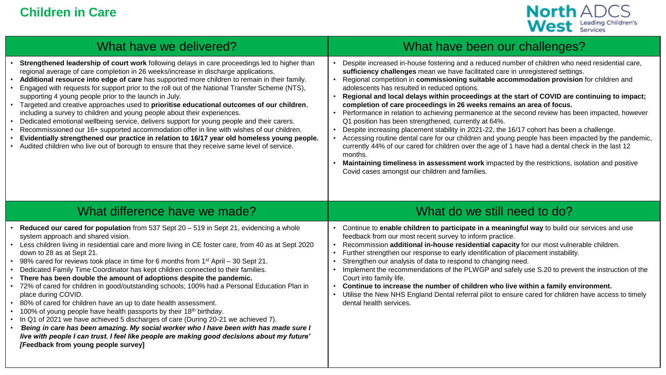

| What have we delivered?                                                                                                                                                                                                                                                                                                                                                                                                                                                                                                                                                                                                                                                                                                                                                                                                                                                                                                                                                                                            | What have been our challenges?                                                                                                                                                                                                                                                                                                                                                                                                                                                                                                                                                                                                                                                                                                                                                                                                                                                                                                                                                                                                                                                                                                         |
|--------------------------------------------------------------------------------------------------------------------------------------------------------------------------------------------------------------------------------------------------------------------------------------------------------------------------------------------------------------------------------------------------------------------------------------------------------------------------------------------------------------------------------------------------------------------------------------------------------------------------------------------------------------------------------------------------------------------------------------------------------------------------------------------------------------------------------------------------------------------------------------------------------------------------------------------------------------------------------------------------------------------|----------------------------------------------------------------------------------------------------------------------------------------------------------------------------------------------------------------------------------------------------------------------------------------------------------------------------------------------------------------------------------------------------------------------------------------------------------------------------------------------------------------------------------------------------------------------------------------------------------------------------------------------------------------------------------------------------------------------------------------------------------------------------------------------------------------------------------------------------------------------------------------------------------------------------------------------------------------------------------------------------------------------------------------------------------------------------------------------------------------------------------------|
| Strengthened leadership of court work following delays in care proceedings led to higher than<br>regional average of care completion in 26 weeks/increase in discharge applications.<br>Additional resource into edge of care has supported more children to remain in their family.<br>Engaged with requests for support prior to the roll out of the National Transfer Scheme (NTS),<br>supporting 4 young people prior to the launch in July.<br>Targeted and creative approaches used to prioritise educational outcomes of our children,<br>including a survey to children and young people about their experiences.<br>Dedicated emotional wellbeing service, delivers support for young people and their carers.<br>Recommissioned our 16+ supported accommodation offer in line with wishes of our children.<br>Evidentially strengthened our practice in relation to 16/17 year old homeless young people.<br>Audited children who live out of borough to ensure that they receive same level of service. | Despite increased in-house fostering and a reduced number of children who need residential care,<br>sufficiency challenges mean we have facilitated care in unregistered settings.<br>Regional competition in commissioning suitable accommodation provision for children and<br>adolescents has resulted in reduced options.<br>Regional and local delays within proceedings at the start of COVID are continuing to impact;<br>completion of care proceedings in 26 weeks remains an area of focus.<br>Performance in relation to achieving permanence at the second review has been impacted, however<br>Q1 position has been strengthened, currently at 64%.<br>Despite increasing placement stability in 2021-22, the 16/17 cohort has been a challenge.<br>Accessing routine dental care for our children and young people has been impacted by the pandemic,<br>currently 44% of our cared for children over the age of 1 have had a dental check in the last 12<br>months.<br>Maintaining timeliness in assessment work impacted by the restrictions, isolation and positive<br>Covid cases amongst our children and families. |
|                                                                                                                                                                                                                                                                                                                                                                                                                                                                                                                                                                                                                                                                                                                                                                                                                                                                                                                                                                                                                    |                                                                                                                                                                                                                                                                                                                                                                                                                                                                                                                                                                                                                                                                                                                                                                                                                                                                                                                                                                                                                                                                                                                                        |
| What difference have we made?                                                                                                                                                                                                                                                                                                                                                                                                                                                                                                                                                                                                                                                                                                                                                                                                                                                                                                                                                                                      | What do we still need to do?                                                                                                                                                                                                                                                                                                                                                                                                                                                                                                                                                                                                                                                                                                                                                                                                                                                                                                                                                                                                                                                                                                           |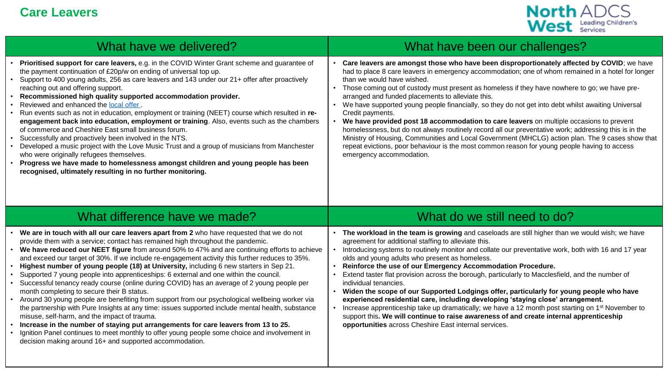

| What have we delivered?                                                                                                                                                                                                                                                                                                                                                                                                                                                                                                                                                                                                                                                                                                                                                                                                                                                                                                                                                                                                                 | What have been our challenges?                                                                                                                                                                                                                                                                                                                                                                                                                                                                                                                                                                                                                                                                                                                                                                                                                                                                                                                     |
|-----------------------------------------------------------------------------------------------------------------------------------------------------------------------------------------------------------------------------------------------------------------------------------------------------------------------------------------------------------------------------------------------------------------------------------------------------------------------------------------------------------------------------------------------------------------------------------------------------------------------------------------------------------------------------------------------------------------------------------------------------------------------------------------------------------------------------------------------------------------------------------------------------------------------------------------------------------------------------------------------------------------------------------------|----------------------------------------------------------------------------------------------------------------------------------------------------------------------------------------------------------------------------------------------------------------------------------------------------------------------------------------------------------------------------------------------------------------------------------------------------------------------------------------------------------------------------------------------------------------------------------------------------------------------------------------------------------------------------------------------------------------------------------------------------------------------------------------------------------------------------------------------------------------------------------------------------------------------------------------------------|
| Prioritised support for care leavers, e.g. in the COVID Winter Grant scheme and guarantee of<br>the payment continuation of £20p/w on ending of universal top up.<br>• Support to 400 young adults, 256 as care leavers and 143 under our 21+ offer after proactively<br>reaching out and offering support.<br>Recommissioned high quality supported accommodation provider.<br>Reviewed and enhanced the local offer.<br>Run events such as not in education, employment or training (NEET) course which resulted in re-<br>engagement back into education, employment or training. Also, events such as the chambers<br>of commerce and Cheshire East small business forum.<br>• Successfully and proactively been involved in the NTS.<br>Developed a music project with the Love Music Trust and a group of musicians from Manchester<br>who were originally refugees themselves.<br>Progress we have made to homelessness amongst children and young people has been<br>recognised, ultimately resulting in no further monitoring. | Care leavers are amongst those who have been disproportionately affected by COVID; we have<br>had to place 8 care leavers in emergency accommodation; one of whom remained in a hotel for longer<br>than we would have wished.<br>Those coming out of custody must present as homeless if they have nowhere to go; we have pre-<br>arranged and funded placements to alleviate this.<br>We have supported young people financially, so they do not get into debt whilst awaiting Universal<br>Credit payments.<br>We have provided post 18 accommodation to care leavers on multiple occasions to prevent<br>homelessness, but do not always routinely record all our preventative work; addressing this is in the<br>Ministry of Housing, Communities and Local Government (MHCLG) action plan. The 9 cases show that<br>repeat evictions, poor behaviour is the most common reason for young people having to access<br>emergency accommodation. |
|                                                                                                                                                                                                                                                                                                                                                                                                                                                                                                                                                                                                                                                                                                                                                                                                                                                                                                                                                                                                                                         |                                                                                                                                                                                                                                                                                                                                                                                                                                                                                                                                                                                                                                                                                                                                                                                                                                                                                                                                                    |
| What difference have we made?                                                                                                                                                                                                                                                                                                                                                                                                                                                                                                                                                                                                                                                                                                                                                                                                                                                                                                                                                                                                           | What do we still need to do?                                                                                                                                                                                                                                                                                                                                                                                                                                                                                                                                                                                                                                                                                                                                                                                                                                                                                                                       |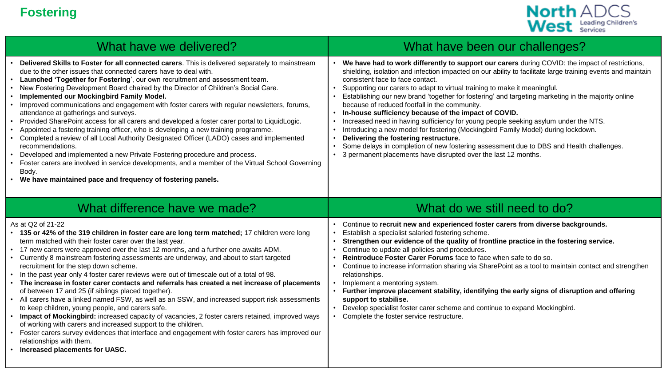

| What have we delivered?                                                                                                                                                                                                                                                                                                                                                                                                                                                                                                                                                                                                                                                                                                                                                                                                                                                                                                                                                                                                                                                                              | What have been our challenges?                                                                                                                                                                                                                                                                                                                                                                                                                                                                                                                                                                                                                                                                                                                                                                                                                                                                                                   |
|------------------------------------------------------------------------------------------------------------------------------------------------------------------------------------------------------------------------------------------------------------------------------------------------------------------------------------------------------------------------------------------------------------------------------------------------------------------------------------------------------------------------------------------------------------------------------------------------------------------------------------------------------------------------------------------------------------------------------------------------------------------------------------------------------------------------------------------------------------------------------------------------------------------------------------------------------------------------------------------------------------------------------------------------------------------------------------------------------|----------------------------------------------------------------------------------------------------------------------------------------------------------------------------------------------------------------------------------------------------------------------------------------------------------------------------------------------------------------------------------------------------------------------------------------------------------------------------------------------------------------------------------------------------------------------------------------------------------------------------------------------------------------------------------------------------------------------------------------------------------------------------------------------------------------------------------------------------------------------------------------------------------------------------------|
| Delivered Skills to Foster for all connected carers. This is delivered separately to mainstream<br>due to the other issues that connected carers have to deal with.<br>Launched 'Together for Fostering', our own recruitment and assessment team.<br>New Fostering Development Board chaired by the Director of Children's Social Care.<br><b>Implemented our Mockingbird Family Model.</b><br>Improved communications and engagement with foster carers with regular newsletters, forums,<br>attendance at gatherings and surveys.<br>Provided SharePoint access for all carers and developed a foster carer portal to LiquidLogic.<br>Appointed a fostering training officer, who is developing a new training programme.<br>Completed a review of all Local Authority Designated Officer (LADO) cases and implemented<br>recommendations.<br>Developed and implemented a new Private Fostering procedure and process.<br>Foster carers are involved in service developments, and a member of the Virtual School Governing<br>Body.<br>We have maintained pace and frequency of fostering panels. | We have had to work differently to support our carers during COVID: the impact of restrictions,<br>shielding, isolation and infection impacted on our ability to facilitate large training events and maintain<br>consistent face to face contact.<br>Supporting our carers to adapt to virtual training to make it meaningful.<br>Establishing our new brand 'together for fostering' and targeting marketing in the majority online<br>because of reduced footfall in the community.<br>In-house sufficiency because of the impact of COVID.<br>Increased need in having sufficiency for young people seeking asylum under the NTS.<br>Introducing a new model for fostering (Mockingbird Family Model) during lockdown.<br>Delivering the fostering restructure.<br>Some delays in completion of new fostering assessment due to DBS and Health challenges.<br>3 permanent placements have disrupted over the last 12 months. |
| What difference have we made?                                                                                                                                                                                                                                                                                                                                                                                                                                                                                                                                                                                                                                                                                                                                                                                                                                                                                                                                                                                                                                                                        | What do we still need to do?                                                                                                                                                                                                                                                                                                                                                                                                                                                                                                                                                                                                                                                                                                                                                                                                                                                                                                     |
|                                                                                                                                                                                                                                                                                                                                                                                                                                                                                                                                                                                                                                                                                                                                                                                                                                                                                                                                                                                                                                                                                                      |                                                                                                                                                                                                                                                                                                                                                                                                                                                                                                                                                                                                                                                                                                                                                                                                                                                                                                                                  |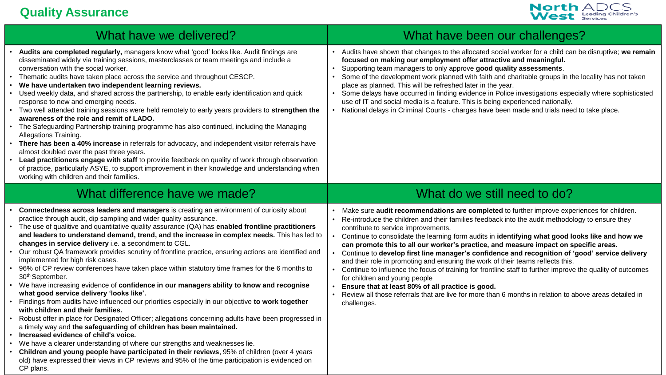#### **Quality Assurance**



| What have we delivered?                                                                                                                                                                                                                                                                                                                                                                                                                                                                                                                                                                                                                                                                                                                                                                                                                                                                                                                                                                                                                                                                                                                                                                                                                                                                                                                                                                                                                                                                                   | What have been our challenges?                                                                                                                                                                                                                                                                                                                                                                                                                                                                                                                                                                                                                                                                                                                                                                                                                                                                                                                    |
|-----------------------------------------------------------------------------------------------------------------------------------------------------------------------------------------------------------------------------------------------------------------------------------------------------------------------------------------------------------------------------------------------------------------------------------------------------------------------------------------------------------------------------------------------------------------------------------------------------------------------------------------------------------------------------------------------------------------------------------------------------------------------------------------------------------------------------------------------------------------------------------------------------------------------------------------------------------------------------------------------------------------------------------------------------------------------------------------------------------------------------------------------------------------------------------------------------------------------------------------------------------------------------------------------------------------------------------------------------------------------------------------------------------------------------------------------------------------------------------------------------------|---------------------------------------------------------------------------------------------------------------------------------------------------------------------------------------------------------------------------------------------------------------------------------------------------------------------------------------------------------------------------------------------------------------------------------------------------------------------------------------------------------------------------------------------------------------------------------------------------------------------------------------------------------------------------------------------------------------------------------------------------------------------------------------------------------------------------------------------------------------------------------------------------------------------------------------------------|
| Audits are completed regularly, managers know what 'good' looks like. Audit findings are<br>disseminated widely via training sessions, masterclasses or team meetings and include a<br>conversation with the social worker.<br>Thematic audits have taken place across the service and throughout CESCP.<br>We have undertaken two independent learning reviews.<br>• Used weekly data, and shared across the partnership, to enable early identification and quick<br>response to new and emerging needs.<br>• Two well attended training sessions were held remotely to early years providers to strengthen the<br>awareness of the role and remit of LADO.<br>• The Safeguarding Partnership training programme has also continued, including the Managing<br>Allegations Training.<br>• There has been a 40% increase in referrals for advocacy, and independent visitor referrals have<br>almost doubled over the past three years.<br>• Lead practitioners engage with staff to provide feedback on quality of work through observation<br>of practice, particularly ASYE, to support improvement in their knowledge and understanding when<br>working with children and their families.                                                                                                                                                                                                                                                                                                            | Audits have shown that changes to the allocated social worker for a child can be disruptive; we remain<br>focused on making our employment offer attractive and meaningful.<br>Supporting team managers to only approve good quality assessments.<br>Some of the development work planned with faith and charitable groups in the locality has not taken<br>place as planned. This will be refreshed later in the year.<br>Some delays have occurred in finding evidence in Police investigations especially where sophisticated<br>use of IT and social media is a feature. This is being experienced nationally.<br>National delays in Criminal Courts - charges have been made and trials need to take place.                                                                                                                                                                                                                                  |
| What difference have we made?                                                                                                                                                                                                                                                                                                                                                                                                                                                                                                                                                                                                                                                                                                                                                                                                                                                                                                                                                                                                                                                                                                                                                                                                                                                                                                                                                                                                                                                                             | What do we still need to do?                                                                                                                                                                                                                                                                                                                                                                                                                                                                                                                                                                                                                                                                                                                                                                                                                                                                                                                      |
| Connectedness across leaders and managers is creating an environment of curiosity about<br>practice through audit, dip sampling and wider quality assurance.<br>• The use of qualitive and quantitative quality assurance (QA) has enabled frontline practitioners<br>and leaders to understand demand, trend, and the increase in complex needs. This has led to<br>changes in service delivery i.e. a secondment to CGL.<br>• Our robust QA framework provides scrutiny of frontline practice, ensuring actions are identified and<br>implemented for high risk cases.<br>• 96% of CP review conferences have taken place within statutory time frames for the 6 months to<br>30th September.<br>• We have increasing evidence of confidence in our managers ability to know and recognise<br>what good service delivery 'looks like'.<br>• Findings from audits have influenced our priorities especially in our objective to work together<br>with children and their families.<br>• Robust offer in place for Designated Officer; allegations concerning adults have been progressed in<br>a timely way and the safeguarding of children has been maintained.<br>· Increased evidence of child's voice.<br>We have a clearer understanding of where our strengths and weaknesses lie.<br>Children and young people have participated in their reviews, 95% of children (over 4 years<br>old) have expressed their views in CP reviews and 95% of the time participation is evidenced on<br>CP plans. | Make sure audit recommendations are completed to further improve experiences for children.<br>Re-introduce the children and their families feedback into the audit methodology to ensure they<br>contribute to service improvements.<br>Continue to consolidate the learning form audits in identifying what good looks like and how we<br>can promote this to all our worker's practice, and measure impact on specific areas.<br>Continue to develop first line manager's confidence and recognition of 'good' service delivery<br>and their role in promoting and ensuring the work of their teams reflects this.<br>Continue to influence the focus of training for frontline staff to further improve the quality of outcomes<br>for children and young people<br>Ensure that at least 80% of all practice is good.<br>Review all those referrals that are live for more than 6 months in relation to above areas detailed in<br>challenges. |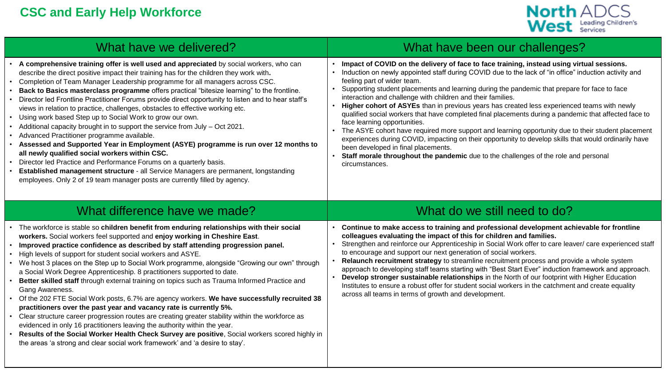

| What have we delivered?                                                                                                                                                                                                                                                                                                                                                                                                                                                                                                                                                                                                                                                                                                                                                                                                                                                                                                                                                                                                                                                                                                                             | What have been our challenges?                                                                                                                                                                                                                                                                                                                                                                                                                                                                                                                                                                                                                                                                                                                                                                                                                                                                                                                                                                            |
|-----------------------------------------------------------------------------------------------------------------------------------------------------------------------------------------------------------------------------------------------------------------------------------------------------------------------------------------------------------------------------------------------------------------------------------------------------------------------------------------------------------------------------------------------------------------------------------------------------------------------------------------------------------------------------------------------------------------------------------------------------------------------------------------------------------------------------------------------------------------------------------------------------------------------------------------------------------------------------------------------------------------------------------------------------------------------------------------------------------------------------------------------------|-----------------------------------------------------------------------------------------------------------------------------------------------------------------------------------------------------------------------------------------------------------------------------------------------------------------------------------------------------------------------------------------------------------------------------------------------------------------------------------------------------------------------------------------------------------------------------------------------------------------------------------------------------------------------------------------------------------------------------------------------------------------------------------------------------------------------------------------------------------------------------------------------------------------------------------------------------------------------------------------------------------|
| A comprehensive training offer is well used and appreciated by social workers, who can<br>describe the direct positive impact their training has for the children they work with.<br>Completion of Team Manager Leadership programme for all managers across CSC.<br>Back to Basics masterclass programme offers practical "bitesize learning" to the frontline.<br>Director led Frontline Practitioner Forums provide direct opportunity to listen and to hear staff's<br>views in relation to practice, challenges, obstacles to effective working etc.<br>Using work based Step up to Social Work to grow our own.<br>$\bullet$<br>Additional capacity brought in to support the service from July - Oct 2021.<br>Advanced Practitioner programme available.<br>Assessed and Supported Year in Employment (ASYE) programme is run over 12 months to<br>all newly qualified social workers within CSC.<br>Director led Practice and Performance Forums on a quarterly basis.<br>Established management structure - all Service Managers are permanent, longstanding<br>employees. Only 2 of 19 team manager posts are currently filled by agency. | Impact of COVID on the delivery of face to face training, instead using virtual sessions.<br>• Induction on newly appointed staff during COVID due to the lack of "in office" induction activity and<br>feeling part of wider team.<br>Supporting student placements and learning during the pandemic that prepare for face to face<br>interaction and challenge with children and their families.<br>Higher cohort of ASYEs than in previous years has created less experienced teams with newly<br>qualified social workers that have completed final placements during a pandemic that affected face to<br>face learning opportunities.<br>The ASYE cohort have required more support and learning opportunity due to their student placement<br>experiences during COVID, impacting on their opportunity to develop skills that would ordinarily have<br>been developed in final placements.<br>Staff morale throughout the pandemic due to the challenges of the role and personal<br>circumstances. |
| What difference have we made?                                                                                                                                                                                                                                                                                                                                                                                                                                                                                                                                                                                                                                                                                                                                                                                                                                                                                                                                                                                                                                                                                                                       | What do we still need to do?                                                                                                                                                                                                                                                                                                                                                                                                                                                                                                                                                                                                                                                                                                                                                                                                                                                                                                                                                                              |
| The workforce is stable so children benefit from enduring relationships with their social                                                                                                                                                                                                                                                                                                                                                                                                                                                                                                                                                                                                                                                                                                                                                                                                                                                                                                                                                                                                                                                           | Continue to make access to training and professional development achievable for frontline                                                                                                                                                                                                                                                                                                                                                                                                                                                                                                                                                                                                                                                                                                                                                                                                                                                                                                                 |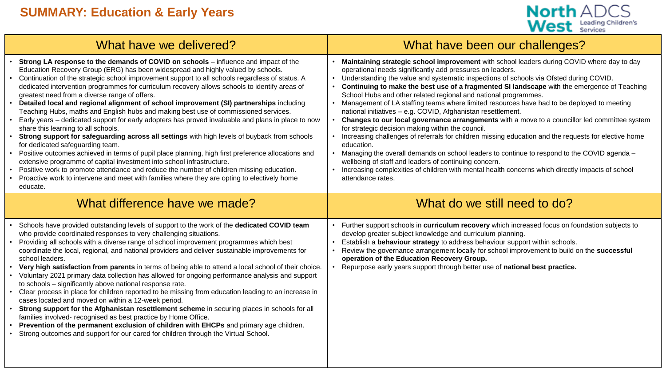

| What have we delivered?                                                                                                                                                                                                                                                                                                                                                                                                                                                                                                                                                                                                                                                                                                                                                                                                                                                                                                                                                                                                                                                                                                                                                                                                                                                                            | What have been our challenges?                                                                                                                                                                                                                                                                                                                                                                                                                                                                                                                                                                                                                                                                                                                                                                                                                                                                                                                                                                                                                                                                                                                 |
|----------------------------------------------------------------------------------------------------------------------------------------------------------------------------------------------------------------------------------------------------------------------------------------------------------------------------------------------------------------------------------------------------------------------------------------------------------------------------------------------------------------------------------------------------------------------------------------------------------------------------------------------------------------------------------------------------------------------------------------------------------------------------------------------------------------------------------------------------------------------------------------------------------------------------------------------------------------------------------------------------------------------------------------------------------------------------------------------------------------------------------------------------------------------------------------------------------------------------------------------------------------------------------------------------|------------------------------------------------------------------------------------------------------------------------------------------------------------------------------------------------------------------------------------------------------------------------------------------------------------------------------------------------------------------------------------------------------------------------------------------------------------------------------------------------------------------------------------------------------------------------------------------------------------------------------------------------------------------------------------------------------------------------------------------------------------------------------------------------------------------------------------------------------------------------------------------------------------------------------------------------------------------------------------------------------------------------------------------------------------------------------------------------------------------------------------------------|
| Strong LA response to the demands of COVID on schools - influence and impact of the<br>Education Recovery Group (ERG) has been widespread and highly valued by schools.<br>Continuation of the strategic school improvement support to all schools regardless of status. A<br>$\bullet$<br>dedicated intervention programmes for curriculum recovery allows schools to identify areas of<br>greatest need from a diverse range of offers.<br>Detailed local and regional alignment of school improvement (SI) partnerships including<br>Teaching Hubs, maths and English hubs and making best use of commissioned services.<br>Early years – dedicated support for early adopters has proved invaluable and plans in place to now<br>share this learning to all schools.<br>Strong support for safeguarding across all settings with high levels of buyback from schools<br>for dedicated safeguarding team.<br>Positive outcomes achieved in terms of pupil place planning, high first preference allocations and<br>extensive programme of capital investment into school infrastructure.<br>Positive work to promote attendance and reduce the number of children missing education.<br>Proactive work to intervene and meet with families where they are opting to electively home<br>educate. | Maintaining strategic school improvement with school leaders during COVID where day to day<br>operational needs significantly add pressures on leaders.<br>Understanding the value and systematic inspections of schools via Ofsted during COVID.<br>Continuing to make the best use of a fragmented SI landscape with the emergence of Teaching<br>School Hubs and other related regional and national programmes.<br>Management of LA staffing teams where limited resources have had to be deployed to meeting<br>national initiatives - e.g. COVID, Afghanistan resettlement.<br>Changes to our local governance arrangements with a move to a councillor led committee system<br>for strategic decision making within the council.<br>Increasing challenges of referrals for children missing education and the requests for elective home<br>education.<br>Managing the overall demands on school leaders to continue to respond to the COVID agenda -<br>wellbeing of staff and leaders of continuing concern.<br>Increasing complexities of children with mental health concerns which directly impacts of school<br>attendance rates. |
| What difference have we made?                                                                                                                                                                                                                                                                                                                                                                                                                                                                                                                                                                                                                                                                                                                                                                                                                                                                                                                                                                                                                                                                                                                                                                                                                                                                      | What do we still need to do?                                                                                                                                                                                                                                                                                                                                                                                                                                                                                                                                                                                                                                                                                                                                                                                                                                                                                                                                                                                                                                                                                                                   |
| Schools have provided outstanding levels of support to the work of the dedicated COVID team<br>who provide coordinated responses to very challenging situations.<br>Providing all schools with a diverse range of school improvement programmes which best<br>coordinate the local, regional, and national providers and deliver sustainable improvements for<br>school leaders.<br>Very high satisfaction from parents in terms of being able to attend a local school of their choice.<br>Voluntary 2021 primary data collection has allowed for ongoing performance analysis and support<br>to schools - significantly above national response rate.<br>Clear process in place for children reported to be missing from education leading to an increase in<br>cases located and moved on within a 12-week period.<br>Strong support for the Afghanistan resettlement scheme in securing places in schools for all<br>families involved- recognised as best practice by Home Office.<br>Prevention of the permanent exclusion of children with EHCPs and primary age children.<br>Strong outcomes and support for our cared for children through the Virtual School.                                                                                                                            | Further support schools in curriculum recovery which increased focus on foundation subjects to<br>develop greater subject knowledge and curriculum planning.<br>Establish a behaviour strategy to address behaviour support within schools.<br>Review the governance arrangement locally for school improvement to build on the successful<br>operation of the Education Recovery Group.<br>• Repurpose early years support through better use of national best practice.                                                                                                                                                                                                                                                                                                                                                                                                                                                                                                                                                                                                                                                                      |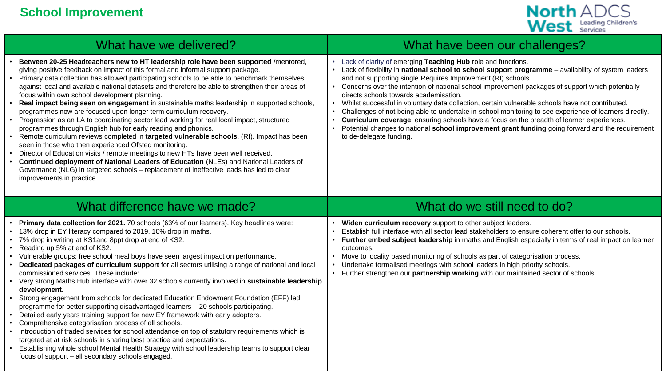

| What have we delivered?                                                                                                                                                                                                                                                                                                                                                                                                                                                                                                                                                                                                                                                                                                                                                                                                                                                                                                                                                                                                                                                                                                                                                                                                                                                                                                          | What have been our challenges?                                                                                                                                                                                                                                                                                                                                                                                                                                                                                                                                                                                                                                                                                                                                                                                              |
|----------------------------------------------------------------------------------------------------------------------------------------------------------------------------------------------------------------------------------------------------------------------------------------------------------------------------------------------------------------------------------------------------------------------------------------------------------------------------------------------------------------------------------------------------------------------------------------------------------------------------------------------------------------------------------------------------------------------------------------------------------------------------------------------------------------------------------------------------------------------------------------------------------------------------------------------------------------------------------------------------------------------------------------------------------------------------------------------------------------------------------------------------------------------------------------------------------------------------------------------------------------------------------------------------------------------------------|-----------------------------------------------------------------------------------------------------------------------------------------------------------------------------------------------------------------------------------------------------------------------------------------------------------------------------------------------------------------------------------------------------------------------------------------------------------------------------------------------------------------------------------------------------------------------------------------------------------------------------------------------------------------------------------------------------------------------------------------------------------------------------------------------------------------------------|
| Between 20-25 Headteachers new to HT leadership role have been supported /mentored,<br>giving positive feedback on impact of this formal and informal support package.<br>Primary data collection has allowed participating schools to be able to benchmark themselves<br>against local and available national datasets and therefore be able to strengthen their areas of<br>focus within own school development planning.<br>Real impact being seen on engagement in sustainable maths leadership in supported schools,<br>programmes now are focused upon longer term curriculum recovery.<br>Progression as an LA to coordinating sector lead working for real local impact, structured<br>$\bullet$<br>programmes through English hub for early reading and phonics.<br>Remote curriculum reviews completed in targeted vulnerable schools, (RI). Impact has been<br>seen in those who then experienced Ofsted monitoring.<br>Director of Education visits / remote meetings to new HTs have been well received.<br>$\bullet$<br>Continued deployment of National Leaders of Education (NLEs) and National Leaders of<br>Governance (NLG) in targeted schools – replacement of ineffective leads has led to clear<br>improvements in practice.                                                                              | Lack of clarity of emerging Teaching Hub role and functions.<br>Lack of flexibility in national school to school support programme - availability of system leaders<br>and not supporting single Requires Improvement (RI) schools.<br>Concerns over the intention of national school improvement packages of support which potentially<br>directs schools towards academisation.<br>Whilst successful in voluntary data collection, certain vulnerable schools have not contributed.<br>Challenges of not being able to undertake in-school monitoring to see experience of learners directly.<br>Curriculum coverage, ensuring schools have a focus on the breadth of learner experiences.<br>Potential changes to national school improvement grant funding going forward and the requirement<br>to de-delegate funding. |
| What difference have we made?                                                                                                                                                                                                                                                                                                                                                                                                                                                                                                                                                                                                                                                                                                                                                                                                                                                                                                                                                                                                                                                                                                                                                                                                                                                                                                    | What do we still need to do?                                                                                                                                                                                                                                                                                                                                                                                                                                                                                                                                                                                                                                                                                                                                                                                                |
| Primary data collection for 2021. 70 schools (63% of our learners). Key headlines were:<br>13% drop in EY literacy compared to 2019. 10% drop in maths.<br>$\bullet$<br>7% drop in writing at KS1 and 8ppt drop at end of KS2.<br>Reading up 5% at end of KS2.<br>$\bullet$<br>• Vulnerable groups: free school meal boys have seen largest impact on performance.<br>Dedicated packages of curriculum support for all sectors utilising a range of national and local<br>commissioned services. These include:<br>• Very strong Maths Hub interface with over 32 schools currently involved in sustainable leadership<br>development.<br>Strong engagement from schools for dedicated Education Endowment Foundation (EFF) led<br>programme for better supporting disadvantaged learners - 20 schools participating.<br>• Detailed early years training support for new EY framework with early adopters.<br>Comprehensive categorisation process of all schools.<br>Introduction of traded services for school attendance on top of statutory requirements which is<br>$\bullet$<br>targeted at at risk schools in sharing best practice and expectations.<br>Establishing whole school Mental Health Strategy with school leadership teams to support clear<br>$\bullet$<br>focus of support - all secondary schools engaged. | Widen curriculum recovery support to other subject leaders.<br>Establish full interface with all sector lead stakeholders to ensure coherent offer to our schools.<br>Further embed subject leadership in maths and English especially in terms of real impact on learner<br>outcomes.<br>Move to locality based monitoring of schools as part of categorisation process.<br>Undertake formalised meetings with school leaders in high priority schools.<br>Further strengthen our partnership working with our maintained sector of schools.                                                                                                                                                                                                                                                                               |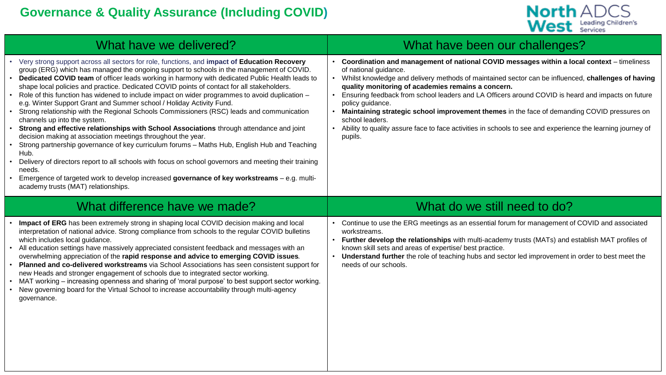#### **Governance & Quality Assurance (Including COVID)**



| What have we delivered?                                                                                                                                                                                                                                                                                                                                                                                                                                                                                                                                                                                                                                                                                                                                                                                                                                                                                                                                                                                                                                                                                                                                                                                                                                      | What have been our challenges?                                                                                                                                                                                                                                                                                                                                                                                                                                                                                                                                                                                                                                   |
|--------------------------------------------------------------------------------------------------------------------------------------------------------------------------------------------------------------------------------------------------------------------------------------------------------------------------------------------------------------------------------------------------------------------------------------------------------------------------------------------------------------------------------------------------------------------------------------------------------------------------------------------------------------------------------------------------------------------------------------------------------------------------------------------------------------------------------------------------------------------------------------------------------------------------------------------------------------------------------------------------------------------------------------------------------------------------------------------------------------------------------------------------------------------------------------------------------------------------------------------------------------|------------------------------------------------------------------------------------------------------------------------------------------------------------------------------------------------------------------------------------------------------------------------------------------------------------------------------------------------------------------------------------------------------------------------------------------------------------------------------------------------------------------------------------------------------------------------------------------------------------------------------------------------------------------|
| • Very strong support across all sectors for role, functions, and impact of Education Recovery<br>group (ERG) which has managed the ongoing support to schools in the management of COVID.<br>Dedicated COVID team of officer leads working in harmony with dedicated Public Health leads to<br>$\bullet$<br>shape local policies and practice. Dedicated COVID points of contact for all stakeholders.<br>• Role of this function has widened to include impact on wider programmes to avoid duplication -<br>e.g. Winter Support Grant and Summer school / Holiday Activity Fund.<br>Strong relationship with the Regional Schools Commissioners (RSC) leads and communication<br>channels up into the system.<br>Strong and effective relationships with School Associations through attendance and joint<br>decision making at association meetings throughout the year.<br>Strong partnership governance of key curriculum forums - Maths Hub, English Hub and Teaching<br>Hub.<br>Delivery of directors report to all schools with focus on school governors and meeting their training<br>$\bullet$<br>needs.<br>Emergence of targeted work to develop increased governance of key workstreams $-$ e.g. multi-<br>academy trusts (MAT) relationships. | Coordination and management of national COVID messages within a local context - timeliness<br>of national guidance.<br>Whilst knowledge and delivery methods of maintained sector can be influenced, challenges of having<br>$\bullet$<br>quality monitoring of academies remains a concern.<br>Ensuring feedback from school leaders and LA Officers around COVID is heard and impacts on future<br>policy guidance.<br>Maintaining strategic school improvement themes in the face of demanding COVID pressures on<br>school leaders.<br>Ability to quality assure face to face activities in schools to see and experience the learning journey of<br>pupils. |
| What difference have we made?                                                                                                                                                                                                                                                                                                                                                                                                                                                                                                                                                                                                                                                                                                                                                                                                                                                                                                                                                                                                                                                                                                                                                                                                                                | What do we still need to do?                                                                                                                                                                                                                                                                                                                                                                                                                                                                                                                                                                                                                                     |
| Impact of ERG has been extremely strong in shaping local COVID decision making and local                                                                                                                                                                                                                                                                                                                                                                                                                                                                                                                                                                                                                                                                                                                                                                                                                                                                                                                                                                                                                                                                                                                                                                     | Continue to use the ERG meetings as an essential forum for management of COVID and associated                                                                                                                                                                                                                                                                                                                                                                                                                                                                                                                                                                    |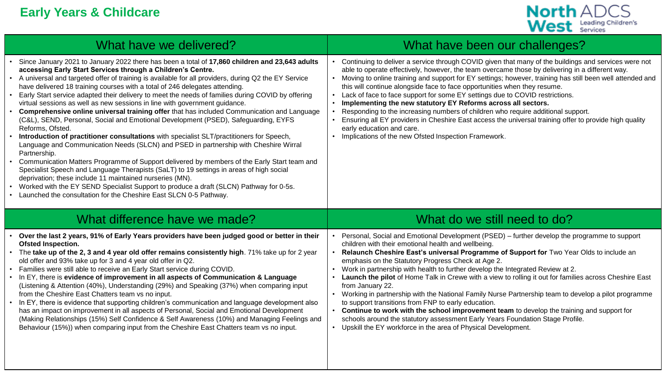

| What have we delivered?                                                                                                                                                                                                                                                                                                                                                                                                                                                                                                                                                                                                                                                                                                                                                                                                                                                                                                                                                                                                                                                                                                                                                                                                                                                                                                                                                                  | What have been our challenges?                                                                                                                                                                                                                                                                                                                                                                                                                                                                                                                                                                                                                                                                                                                                                                                                        |
|------------------------------------------------------------------------------------------------------------------------------------------------------------------------------------------------------------------------------------------------------------------------------------------------------------------------------------------------------------------------------------------------------------------------------------------------------------------------------------------------------------------------------------------------------------------------------------------------------------------------------------------------------------------------------------------------------------------------------------------------------------------------------------------------------------------------------------------------------------------------------------------------------------------------------------------------------------------------------------------------------------------------------------------------------------------------------------------------------------------------------------------------------------------------------------------------------------------------------------------------------------------------------------------------------------------------------------------------------------------------------------------|---------------------------------------------------------------------------------------------------------------------------------------------------------------------------------------------------------------------------------------------------------------------------------------------------------------------------------------------------------------------------------------------------------------------------------------------------------------------------------------------------------------------------------------------------------------------------------------------------------------------------------------------------------------------------------------------------------------------------------------------------------------------------------------------------------------------------------------|
| Since January 2021 to January 2022 there has been a total of 17,860 children and 23,643 adults<br>accessing Early Start Services through a Children's Centre.<br>• A universal and targeted offer of training is available for all providers, during Q2 the EY Service<br>have delivered 18 training courses with a total of 246 delegates attending.<br>Early Start service adapted their delivery to meet the needs of families during COVID by offering<br>virtual sessions as well as new sessions in line with government guidance.<br>Comprehensive online universal training offer that has included Communication and Language<br>(C&L), SEND, Personal, Social and Emotional Development (PSED), Safeguarding, EYFS<br>Reforms, Ofsted.<br>Introduction of practitioner consultations with specialist SLT/practitioners for Speech,<br>Language and Communication Needs (SLCN) and PSED in partnership with Cheshire Wirral<br>Partnership.<br>Communication Matters Programme of Support delivered by members of the Early Start team and<br>$\bullet$<br>Specialist Speech and Language Therapists (SaLT) to 19 settings in areas of high social<br>deprivation; these include 11 maintained nurseries (MN).<br>Worked with the EY SEND Specialist Support to produce a draft (SLCN) Pathway for 0-5s.<br>• Launched the consultation for the Cheshire East SLCN 0-5 Pathway. | Continuing to deliver a service through COVID given that many of the buildings and services were not<br>able to operate effectively, however, the team overcame those by delivering in a different way.<br>Moving to online training and support for EY settings; however, training has still been well attended and<br>this will continue alongside face to face opportunities when they resume.<br>Lack of face to face support for some EY settings due to COVID restrictions.<br>Implementing the new statutory EY Reforms across all sectors.<br>Responding to the increasing numbers of children who require additional support.<br>Ensuring all EY providers in Cheshire East access the universal training offer to provide high quality<br>early education and care.<br>Implications of the new Ofsted Inspection Framework. |
|                                                                                                                                                                                                                                                                                                                                                                                                                                                                                                                                                                                                                                                                                                                                                                                                                                                                                                                                                                                                                                                                                                                                                                                                                                                                                                                                                                                          |                                                                                                                                                                                                                                                                                                                                                                                                                                                                                                                                                                                                                                                                                                                                                                                                                                       |
| What difference have we made?                                                                                                                                                                                                                                                                                                                                                                                                                                                                                                                                                                                                                                                                                                                                                                                                                                                                                                                                                                                                                                                                                                                                                                                                                                                                                                                                                            | What do we still need to do?                                                                                                                                                                                                                                                                                                                                                                                                                                                                                                                                                                                                                                                                                                                                                                                                          |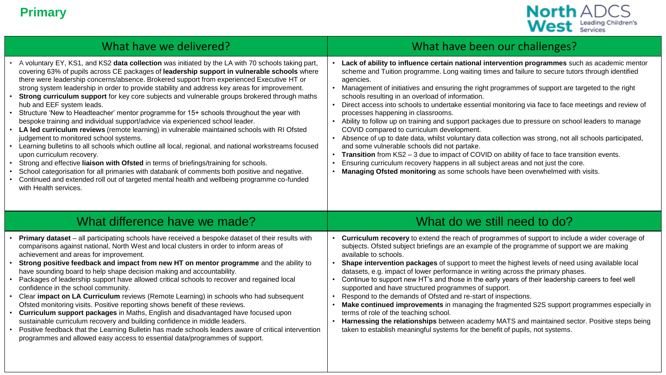

| What have we delivered?                                                                                                                                                                                                                                                                                                                                                                                                                                                                                                                                                                                                                                                                                                                                                                                                                                                                                                                                                                                                                                                                                                                                                                                                                                                                                              | What have been our challenges?                                                                                                                                                                                                                                                                                                                                                                                                                                                                                                                                                                                                                                                                                                                                                                                                                                                                                                                                                                                                                                                                        |
|----------------------------------------------------------------------------------------------------------------------------------------------------------------------------------------------------------------------------------------------------------------------------------------------------------------------------------------------------------------------------------------------------------------------------------------------------------------------------------------------------------------------------------------------------------------------------------------------------------------------------------------------------------------------------------------------------------------------------------------------------------------------------------------------------------------------------------------------------------------------------------------------------------------------------------------------------------------------------------------------------------------------------------------------------------------------------------------------------------------------------------------------------------------------------------------------------------------------------------------------------------------------------------------------------------------------|-------------------------------------------------------------------------------------------------------------------------------------------------------------------------------------------------------------------------------------------------------------------------------------------------------------------------------------------------------------------------------------------------------------------------------------------------------------------------------------------------------------------------------------------------------------------------------------------------------------------------------------------------------------------------------------------------------------------------------------------------------------------------------------------------------------------------------------------------------------------------------------------------------------------------------------------------------------------------------------------------------------------------------------------------------------------------------------------------------|
| • A voluntary EY, KS1, and KS2 data collection was initiated by the LA with 70 schools taking part,<br>covering 63% of pupils across CE packages of leadership support in vulnerable schools where<br>there were leadership concerns/absence. Brokered support from experienced Executive HT or<br>strong system leadership in order to provide stability and address key areas for improvement.<br>• Strong curriculum support for key core subjects and vulnerable groups brokered through maths<br>hub and EEF system leads.<br>• Structure 'New to Headteacher' mentor programme for 15+ schools throughout the year with<br>bespoke training and individual support/advice via experienced school leader.<br>• LA led curriculum reviews (remote learning) in vulnerable maintained schools with RI Ofsted<br>judgement to monitored school systems.<br>• Learning bulletins to all schools which outline all local, regional, and national workstreams focused<br>upon curriculum recovery.<br>• Strong and effective liaison with Ofsted in terms of briefings/training for schools.<br>School categorisation for all primaries with databank of comments both positive and negative.<br>Continued and extended roll out of targeted mental health and wellbeing programme co-funded<br>with Health services. | Lack of ability to influence certain national intervention programmes such as academic mentor<br>scheme and Tuition programme. Long waiting times and failure to secure tutors through identified<br>agencies.<br>Management of initiatives and ensuring the right programmes of support are targeted to the right<br>schools resulting in an overload of information.<br>Direct access into schools to undertake essential monitoring via face to face meetings and review of<br>processes happening in classrooms.<br>Ability to follow up on training and support packages due to pressure on school leaders to manage<br>COVID compared to curriculum development.<br>Absence of up to date data, whilst voluntary data collection was strong, not all schools participated,<br>and some vulnerable schools did not partake.<br>Transition from KS2 - 3 due to impact of COVID on ability of face to face transition events.<br>Ensuring curriculum recovery happens in all subject areas and not just the core.<br>Managing Ofsted monitoring as some schools have been overwhelmed with visits. |
| What difference have we made?                                                                                                                                                                                                                                                                                                                                                                                                                                                                                                                                                                                                                                                                                                                                                                                                                                                                                                                                                                                                                                                                                                                                                                                                                                                                                        | What do we still need to do?                                                                                                                                                                                                                                                                                                                                                                                                                                                                                                                                                                                                                                                                                                                                                                                                                                                                                                                                                                                                                                                                          |
| <b>Primary dataset</b> – all participating schools have received a bespoke dataset of their results with<br>comparisons against national, North West and local clusters in order to inform areas of<br>achievement and areas for improvement.<br>Strong positive feedback and impact from new HT on mentor programme and the ability to<br>have sounding board to help shape decision making and accountability.<br>Packages of leadership support have allowed critical schools to recover and regained local<br>confidence in the school community.<br>• Clear impact on LA Curriculum reviews (Remote Learning) in schools who had subsequent<br>Ofsted monitoring visits. Positive reporting shows benefit of these reviews.<br>• Curriculum support packages in Maths, English and disadvantaged have focused upon<br>sustainable curriculum recovery and building confidence in middle leaders.<br>• Positive feedback that the Learning Bulletin has made schools leaders aware of critical intervention<br>programmes and allowed easy access to essential data/programmes of support.                                                                                                                                                                                                                       | Curriculum recovery to extend the reach of programmes of support to include a wider coverage of<br>subjects. Ofsted subject briefings are an example of the programme of support we are making<br>available to schools.<br>Shape intervention packages of support to meet the highest levels of need using available local<br>datasets, e.g. impact of lower performance in writing across the primary phases.<br>Continue to support new HT's and those in the early years of their leadership careers to feel well<br>supported and have structured programmes of support.<br>Respond to the demands of Ofsted and re-start of inspections.<br>Make continued improvements in managing the fragmented S2S support programmes especially in<br>terms of role of the teaching school.<br>Harnessing the relationships between academy MATS and maintained sector. Positive steps being<br>taken to establish meaningful systems for the benefit of pupils, not systems.                                                                                                                               |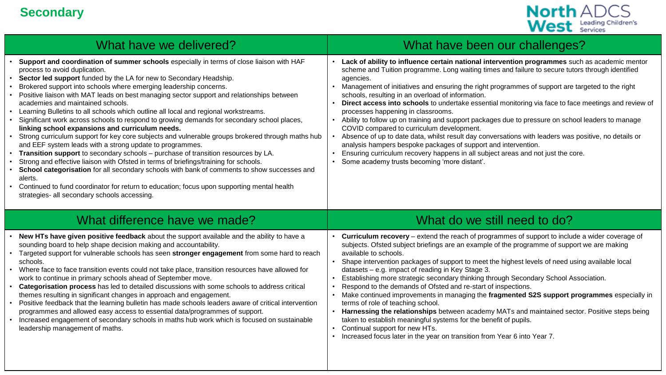#### **Secondary**



| What have we delivered?                                                                                                                                                                                                                                                                                                                                                                                                                                                                                                                                                                                                                                                                                                                                                                                                                                                                                                                                                                                                                                                                                                                                                                                                                                     | What have been our challenges?                                                                                                                                                                                                                                                                                                                                                                                                                                                                                                                                                                                                                                                                                                                                                                                                                                                                                                                                                        |
|-------------------------------------------------------------------------------------------------------------------------------------------------------------------------------------------------------------------------------------------------------------------------------------------------------------------------------------------------------------------------------------------------------------------------------------------------------------------------------------------------------------------------------------------------------------------------------------------------------------------------------------------------------------------------------------------------------------------------------------------------------------------------------------------------------------------------------------------------------------------------------------------------------------------------------------------------------------------------------------------------------------------------------------------------------------------------------------------------------------------------------------------------------------------------------------------------------------------------------------------------------------|---------------------------------------------------------------------------------------------------------------------------------------------------------------------------------------------------------------------------------------------------------------------------------------------------------------------------------------------------------------------------------------------------------------------------------------------------------------------------------------------------------------------------------------------------------------------------------------------------------------------------------------------------------------------------------------------------------------------------------------------------------------------------------------------------------------------------------------------------------------------------------------------------------------------------------------------------------------------------------------|
| Support and coordination of summer schools especially in terms of close liaison with HAF<br>process to avoid duplication.<br>Sector led support funded by the LA for new to Secondary Headship.<br>Brokered support into schools where emerging leadership concerns.<br>Positive liaison with MAT leads on best managing sector support and relationships between<br>academies and maintained schools.<br>• Learning Bulletins to all schools which outline all local and regional workstreams.<br>Significant work across schools to respond to growing demands for secondary school places,<br>linking school expansions and curriculum needs.<br>• Strong curriculum support for key core subjects and vulnerable groups brokered through maths hub<br>and EEF system leads with a strong update to programmes.<br>• Transition support to secondary schools - purchase of transition resources by LA.<br>Strong and effective liaison with Ofsted in terms of briefings/training for schools.<br>School categorisation for all secondary schools with bank of comments to show successes and<br>alerts.<br>• Continued to fund coordinator for return to education; focus upon supporting mental health<br>strategies- all secondary schools accessing. | Lack of ability to influence certain national intervention programmes such as academic mentor<br>scheme and Tuition programme. Long waiting times and failure to secure tutors through identified<br>agencies.<br>Management of initiatives and ensuring the right programmes of support are targeted to the right<br>schools, resulting in an overload of information.<br>Direct access into schools to undertake essential monitoring via face to face meetings and review of<br>processes happening in classrooms.<br>Ability to follow up on training and support packages due to pressure on school leaders to manage<br>COVID compared to curriculum development.<br>Absence of up to date data, whilst result day conversations with leaders was positive, no details or<br>analysis hampers bespoke packages of support and intervention.<br>Ensuring curriculum recovery happens in all subject areas and not just the core.<br>Some academy trusts becoming 'more distant'. |
| What difference have we made?                                                                                                                                                                                                                                                                                                                                                                                                                                                                                                                                                                                                                                                                                                                                                                                                                                                                                                                                                                                                                                                                                                                                                                                                                               | What do we still need to do?                                                                                                                                                                                                                                                                                                                                                                                                                                                                                                                                                                                                                                                                                                                                                                                                                                                                                                                                                          |
|                                                                                                                                                                                                                                                                                                                                                                                                                                                                                                                                                                                                                                                                                                                                                                                                                                                                                                                                                                                                                                                                                                                                                                                                                                                             |                                                                                                                                                                                                                                                                                                                                                                                                                                                                                                                                                                                                                                                                                                                                                                                                                                                                                                                                                                                       |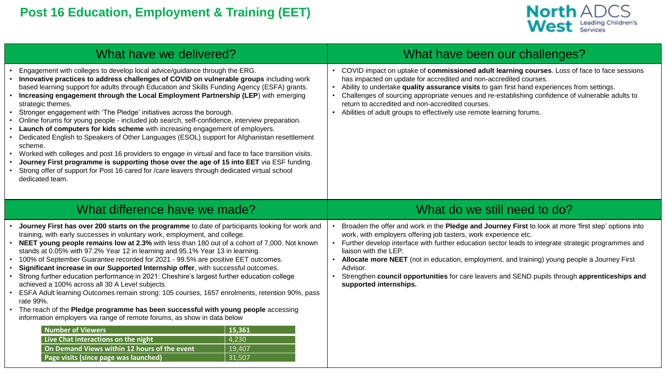#### **Post 16 Education, Employment & Training (EET)**



| What have we delivered?                                                                                                                                                                                                                                                                                                                                                                                                                                                                                                                                                                                                                                                                                                                                                                                                                                                                                                                                                                                                                                                     | What have been our challenges?                                                                                                                                                                                                                                                                                                                                                                                                                                                                                                                   |
|-----------------------------------------------------------------------------------------------------------------------------------------------------------------------------------------------------------------------------------------------------------------------------------------------------------------------------------------------------------------------------------------------------------------------------------------------------------------------------------------------------------------------------------------------------------------------------------------------------------------------------------------------------------------------------------------------------------------------------------------------------------------------------------------------------------------------------------------------------------------------------------------------------------------------------------------------------------------------------------------------------------------------------------------------------------------------------|--------------------------------------------------------------------------------------------------------------------------------------------------------------------------------------------------------------------------------------------------------------------------------------------------------------------------------------------------------------------------------------------------------------------------------------------------------------------------------------------------------------------------------------------------|
| Engagement with colleges to develop local advice/guidance through the ERG.<br>Innovative practices to address challenges of COVID on vulnerable groups including work<br>based learning support for adults through Education and Skills Funding Agency (ESFA) grants.<br>Increasing engagement through the Local Employment Partnership (LEP) with emerging<br>strategic themes.<br>Stronger engagement with 'The Pledge' initiatives across the borough.<br>Online forums for young people - included job search, self-confidence, interview preparation.<br>Launch of computers for kids scheme with increasing engagement of employers.<br>Dedicated English to Speakers of Other Languages (ESOL) support for Afghanistan resettlement<br>scheme.<br>Worked with colleges and post 16 providers to engage in virtual and face to face transition visits.<br>Journey First programme is supporting those over the age of 15 into EET via ESF funding.<br>Strong offer of support for Post 16 cared for /care leavers through dedicated virtual school<br>dedicated team. | • COVID impact on uptake of commissioned adult learning courses. Loss of face to face sessions<br>has impacted on update for accredited and non-accredited courses.<br>Ability to undertake quality assurance visits to gain first hand experiences from settings.<br>Challenges of sourcing appropriate venues and re-establishing confidence of vulnerable adults to<br>return to accredited and non-accredited courses.<br>Abilities of adult groups to effectively use remote learning forums.                                               |
| What difference have we made?                                                                                                                                                                                                                                                                                                                                                                                                                                                                                                                                                                                                                                                                                                                                                                                                                                                                                                                                                                                                                                               | What do we still need to do?                                                                                                                                                                                                                                                                                                                                                                                                                                                                                                                     |
| Journey First has over 200 starts on the programme to date of participants looking for work and<br>training, with early successes in voluntary work, employment, and college.<br>NEET young people remains low at 2.3% with less than 180 out of a cohort of 7,000. Not known<br>stands at 0.05% with 97.2% Year 12 in learning and 95.1% Year 13 in learning.<br>100% of September Guarantee recorded for 2021 - 99.5% are positive EET outcomes.<br>Significant increase in our Supported Internship offer, with successful outcomes.<br>Strong further education performance in 2021: Cheshire's largest further education college<br>achieved a 100% across all 30 A Level subjects.<br>ESFA Adult learning Outcomes remain strong: 105 courses, 1657 enrolments, retention 90%, pass<br>rate 99%.<br>The reach of the Pledge programme has been successful with young people accessing<br>information employers via range of remote forums, as show in data below                                                                                                      | Broaden the offer and work in the Pledge and Journey First to look at more 'first step' options into<br>work, with employers offering job tasters, work experience etc.<br>• Further develop interface with further education sector leads to integrate strategic programmes and<br>liaison with the LEP.<br>Allocate more NEET (not in education, employment, and training) young people a Journey First<br>Advisor.<br>Strengthen council opportunities for care leavers and SEND pupils through apprenticeships and<br>supported internships. |
| Number of Viewers<br>15,361<br>Live Chat interactions on the night<br>4,230<br>On Demand Views within 12 hours of the event<br>19,407<br>31,507<br>Page visits (since page was launched)                                                                                                                                                                                                                                                                                                                                                                                                                                                                                                                                                                                                                                                                                                                                                                                                                                                                                    |                                                                                                                                                                                                                                                                                                                                                                                                                                                                                                                                                  |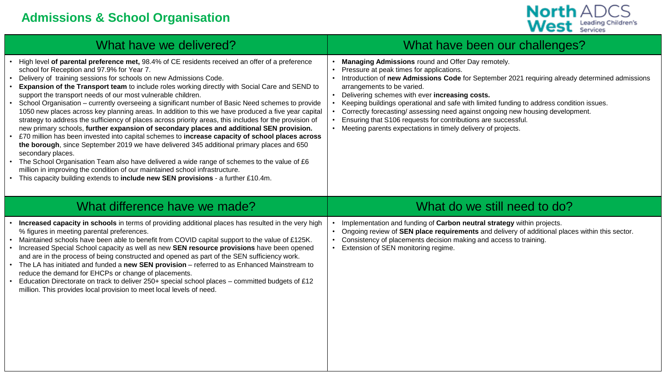

| What have we delivered?                                                                                                                                                                                                                                                                                                                                                                                                                                                                                                                                                                                                                                                                                                                                                                                                                                                                                                                                                                                                                                                                                                                                                                                                                                                                              | What have been our challenges?                                                                                                                                                                                                                                                                                                                                                                                                                                                                                                                                                                  |
|------------------------------------------------------------------------------------------------------------------------------------------------------------------------------------------------------------------------------------------------------------------------------------------------------------------------------------------------------------------------------------------------------------------------------------------------------------------------------------------------------------------------------------------------------------------------------------------------------------------------------------------------------------------------------------------------------------------------------------------------------------------------------------------------------------------------------------------------------------------------------------------------------------------------------------------------------------------------------------------------------------------------------------------------------------------------------------------------------------------------------------------------------------------------------------------------------------------------------------------------------------------------------------------------------|-------------------------------------------------------------------------------------------------------------------------------------------------------------------------------------------------------------------------------------------------------------------------------------------------------------------------------------------------------------------------------------------------------------------------------------------------------------------------------------------------------------------------------------------------------------------------------------------------|
| • High level of parental preference met, 98.4% of CE residents received an offer of a preference<br>school for Reception and 97.9% for Year 7.<br>Delivery of training sessions for schools on new Admissions Code.<br>Expansion of the Transport team to include roles working directly with Social Care and SEND to<br>support the transport needs of our most vulnerable children.<br>School Organisation – currently overseeing a significant number of Basic Need schemes to provide<br>1050 new places across key planning areas. In addition to this we have produced a five year capital<br>strategy to address the sufficiency of places across priority areas, this includes for the provision of<br>new primary schools, further expansion of secondary places and additional SEN provision.<br>• £70 million has been invested into capital schemes to increase capacity of school places across<br>the borough, since September 2019 we have delivered 345 additional primary places and 650<br>secondary places.<br>• The School Organisation Team also have delivered a wide range of schemes to the value of £6<br>million in improving the condition of our maintained school infrastructure.<br>. This capacity building extends to include new SEN provisions - a further £10.4m. | Managing Admissions round and Offer Day remotely.<br>Pressure at peak times for applications.<br>Introduction of new Admissions Code for September 2021 requiring already determined admissions<br>arrangements to be varied.<br>Delivering schemes with ever increasing costs.<br>Keeping buildings operational and safe with limited funding to address condition issues.<br>Correctly forecasting/assessing need against ongoing new housing development.<br>Ensuring that S106 requests for contributions are successful.<br>• Meeting parents expectations in timely delivery of projects. |
| What difference have we made?                                                                                                                                                                                                                                                                                                                                                                                                                                                                                                                                                                                                                                                                                                                                                                                                                                                                                                                                                                                                                                                                                                                                                                                                                                                                        | What do we still need to do?                                                                                                                                                                                                                                                                                                                                                                                                                                                                                                                                                                    |
| • Increased capacity in schools in terms of providing additional places has resulted in the very high<br>% figures in meeting parental preferences.<br>Maintained schools have been able to benefit from COVID capital support to the value of £125K.<br>Increased Special School capacity as well as new SEN resource provisions have been opened<br>and are in the process of being constructed and opened as part of the SEN sufficiency work.<br>. The LA has initiated and funded a new SEN provision - referred to as Enhanced Mainstream to<br>reduce the demand for EHCPs or change of placements.<br>Education Directorate on track to deliver 250+ special school places – committed budgets of £12<br>$\bullet$<br>million. This provides local provision to meet local levels of need.                                                                                                                                                                                                                                                                                                                                                                                                                                                                                                   | Implementation and funding of Carbon neutral strategy within projects.<br>Ongoing review of SEN place requirements and delivery of additional places within this sector.<br>$\bullet$<br>Consistency of placements decision making and access to training.<br>Extension of SEN monitoring regime.                                                                                                                                                                                                                                                                                               |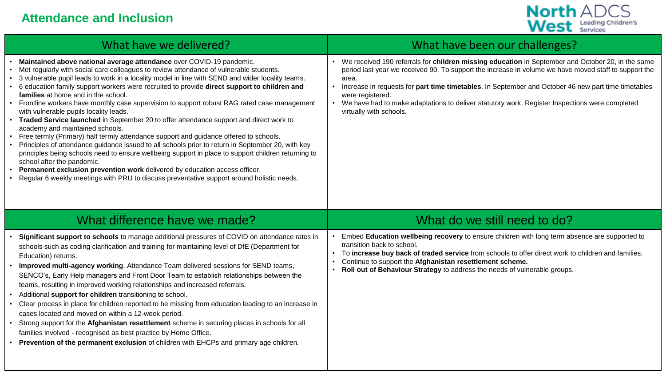

| What have we delivered?                                                                                                                                                                                                                                                                                                                                                                                                                                                                                                                                                                                                                                                                                                                                                                                                                                                                                                                                                                                                                                                                                                                                                                              | What have been our challenges?                                                                                                                                                                                                                                                                                                                                                                                                                                                           |
|------------------------------------------------------------------------------------------------------------------------------------------------------------------------------------------------------------------------------------------------------------------------------------------------------------------------------------------------------------------------------------------------------------------------------------------------------------------------------------------------------------------------------------------------------------------------------------------------------------------------------------------------------------------------------------------------------------------------------------------------------------------------------------------------------------------------------------------------------------------------------------------------------------------------------------------------------------------------------------------------------------------------------------------------------------------------------------------------------------------------------------------------------------------------------------------------------|------------------------------------------------------------------------------------------------------------------------------------------------------------------------------------------------------------------------------------------------------------------------------------------------------------------------------------------------------------------------------------------------------------------------------------------------------------------------------------------|
| Maintained above national average attendance over COVID-19 pandemic.<br>Met regularly with social care colleagues to review attendance of vulnerable students.<br>3 vulnerable pupil leads to work in a locality model in line with SEND and wider locality teams.<br>6 education family support workers were recruited to provide direct support to children and<br>families at home and in the school.<br>• Frontline workers have monthly case supervision to support robust RAG rated case management<br>with vulnerable pupils locality leads.<br>• Traded Service launched in September 20 to offer attendance support and direct work to<br>academy and maintained schools.<br>• Free termly (Primary) half termly attendance support and guidance offered to schools.<br>• Principles of attendance guidance issued to all schools prior to return in September 20, with key<br>principles being schools need to ensure wellbeing support in place to support children returning to<br>school after the pandemic.<br>Permanent exclusion prevention work delivered by education access officer.<br>Regular 6 weekly meetings with PRU to discuss preventative support around holistic needs. | We received 190 referrals for children missing education in September and October 20, in the same<br>period last year we received 90. To support the increase in volume we have moved staff to support the<br>area.<br>Increase in requests for part time timetables. In September and October 46 new part time timetables<br>$\bullet$<br>were registered.<br>We have had to make adaptations to deliver statutory work. Register Inspections were completed<br>virtually with schools. |
| What difference have we made?                                                                                                                                                                                                                                                                                                                                                                                                                                                                                                                                                                                                                                                                                                                                                                                                                                                                                                                                                                                                                                                                                                                                                                        | What do we still need to do?                                                                                                                                                                                                                                                                                                                                                                                                                                                             |
| Significant support to schools to manage additional pressures of COVID on attendance rates in<br>schools such as coding clarification and training for maintaining level of DfE (Department for<br>Education) returns.<br>• Improved multi-agency working. Attendance Team delivered sessions for SEND teams,<br>SENCO's, Early Help managers and Front Door Team to establish relationships between the<br>teams, resulting in improved working relationships and increased referrals.<br>• Additional support for children transitioning to school.<br>Clear process in place for children reported to be missing from education leading to an increase in<br>cases located and moved on within a 12-week period.<br>Strong support for the Afghanistan resettlement scheme in securing places in schools for all<br>families involved - recognised as best practice by Home Office.<br>• Prevention of the permanent exclusion of children with EHCPs and primary age children.                                                                                                                                                                                                                   | Embed Education wellbeing recovery to ensure children with long term absence are supported to<br>transition back to school.<br>To increase buy back of traded service from schools to offer direct work to children and families.<br>Continue to support the Afghanistan resettlement scheme.<br>Roll out of Behaviour Strategy to address the needs of vulnerable groups.                                                                                                               |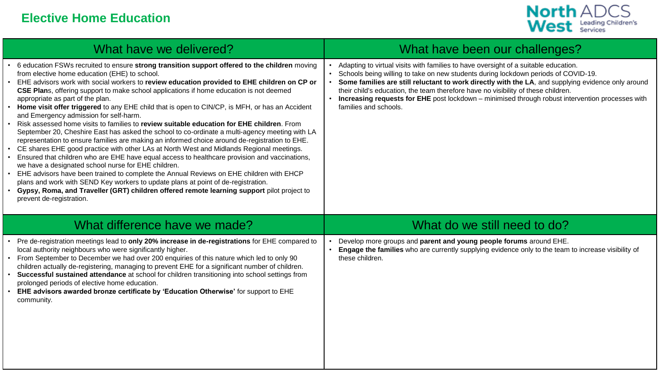#### **Elective Home Education**



| What have we delivered?                                                                                                                                                                                                                                                                                                                                                                                                                                                                                                                                                                                                                                                                                                                                                                                                                                                                                                                                                                                                                                                                                                                                                                                                                                                                                                                                                                                 | What have been our challenges?                                                                                                                                                                                                                                                                                                                                                                                                                                                                    |
|---------------------------------------------------------------------------------------------------------------------------------------------------------------------------------------------------------------------------------------------------------------------------------------------------------------------------------------------------------------------------------------------------------------------------------------------------------------------------------------------------------------------------------------------------------------------------------------------------------------------------------------------------------------------------------------------------------------------------------------------------------------------------------------------------------------------------------------------------------------------------------------------------------------------------------------------------------------------------------------------------------------------------------------------------------------------------------------------------------------------------------------------------------------------------------------------------------------------------------------------------------------------------------------------------------------------------------------------------------------------------------------------------------|---------------------------------------------------------------------------------------------------------------------------------------------------------------------------------------------------------------------------------------------------------------------------------------------------------------------------------------------------------------------------------------------------------------------------------------------------------------------------------------------------|
| • 6 education FSWs recruited to ensure strong transition support offered to the children moving<br>from elective home education (EHE) to school.<br>• EHE advisors work with social workers to review education provided to EHE children on CP or<br>CSE Plans, offering support to make school applications if home education is not deemed<br>appropriate as part of the plan.<br>• Home visit offer triggered to any EHE child that is open to CIN/CP, is MFH, or has an Accident<br>and Emergency admission for self-harm.<br>. Risk assessed home visits to families to review suitable education for EHE children. From<br>September 20, Cheshire East has asked the school to co-ordinate a multi-agency meeting with LA<br>representation to ensure families are making an informed choice around de-registration to EHE.<br>• CE shares EHE good practice with other LAs at North West and Midlands Regional meetings.<br>• Ensured that children who are EHE have equal access to healthcare provision and vaccinations,<br>we have a designated school nurse for EHE children.<br>• EHE advisors have been trained to complete the Annual Reviews on EHE children with EHCP<br>plans and work with SEND Key workers to update plans at point of de-registration.<br>• Gypsy, Roma, and Traveller (GRT) children offered remote learning support pilot project to<br>prevent de-registration. | Adapting to virtual visits with families to have oversight of a suitable education.<br>Schools being willing to take on new students during lockdown periods of COVID-19.<br>Some families are still reluctant to work directly with the LA, and supplying evidence only around<br>their child's education, the team therefore have no visibility of these children.<br>Increasing requests for EHE post lockdown - minimised through robust intervention processes with<br>families and schools. |
| What difference have we made?                                                                                                                                                                                                                                                                                                                                                                                                                                                                                                                                                                                                                                                                                                                                                                                                                                                                                                                                                                                                                                                                                                                                                                                                                                                                                                                                                                           | What do we still need to do?                                                                                                                                                                                                                                                                                                                                                                                                                                                                      |
| • Pre de-registration meetings lead to only 20% increase in de-registrations for EHE compared to<br>local authority neighbours who were significantly higher.<br>• From September to December we had over 200 enquiries of this nature which led to only 90<br>children actually de-registering, managing to prevent EHE for a significant number of children.<br>Successful sustained attendance at school for children transitioning into school settings from<br>prolonged periods of elective home education.<br>. EHE advisors awarded bronze certificate by 'Education Otherwise' for support to EHE<br>community.                                                                                                                                                                                                                                                                                                                                                                                                                                                                                                                                                                                                                                                                                                                                                                                | Develop more groups and parent and young people forums around EHE.<br>Engage the families who are currently supplying evidence only to the team to increase visibility of<br>these children.                                                                                                                                                                                                                                                                                                      |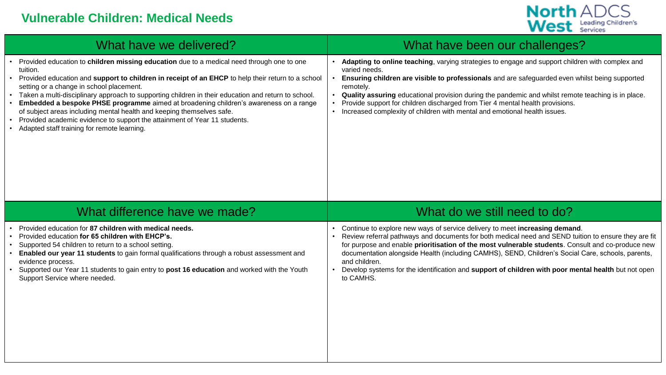#### **Vulnerable Children: Medical Needs**



| What have we delivered?                                                                                                                                                                                                                                                                                                                                                                                                                                                                                                                                                                                                                                       | What have been our challenges?                                                                                                                                                                                                                                                                                                                                                                                                                                                                                                                  |
|---------------------------------------------------------------------------------------------------------------------------------------------------------------------------------------------------------------------------------------------------------------------------------------------------------------------------------------------------------------------------------------------------------------------------------------------------------------------------------------------------------------------------------------------------------------------------------------------------------------------------------------------------------------|-------------------------------------------------------------------------------------------------------------------------------------------------------------------------------------------------------------------------------------------------------------------------------------------------------------------------------------------------------------------------------------------------------------------------------------------------------------------------------------------------------------------------------------------------|
| Provided education to children missing education due to a medical need through one to one<br>tuition.<br>Provided education and support to children in receipt of an EHCP to help their return to a school<br>setting or a change in school placement.<br>• Taken a multi-disciplinary approach to supporting children in their education and return to school.<br>Embedded a bespoke PHSE programme aimed at broadening children's awareness on a range<br>of subject areas including mental health and keeping themselves safe.<br>Provided academic evidence to support the attainment of Year 11 students.<br>Adapted staff training for remote learning. | Adapting to online teaching, varying strategies to engage and support children with complex and<br>varied needs.<br>Ensuring children are visible to professionals and are safeguarded even whilst being supported<br>remotely.<br>Quality assuring educational provision during the pandemic and whilst remote teaching is in place.<br>Provide support for children discharged from Tier 4 mental health provisions.<br>Increased complexity of children with mental and emotional health issues.                                             |
| What difference have we made?                                                                                                                                                                                                                                                                                                                                                                                                                                                                                                                                                                                                                                 | What do we still need to do?                                                                                                                                                                                                                                                                                                                                                                                                                                                                                                                    |
| Provided education for 87 children with medical needs.<br>Provided education for 65 children with EHCP's.<br>Supported 54 children to return to a school setting.<br>Enabled our year 11 students to gain formal qualifications through a robust assessment and<br>evidence process.<br>Supported our Year 11 students to gain entry to post 16 education and worked with the Youth<br>Support Service where needed.                                                                                                                                                                                                                                          | Continue to explore new ways of service delivery to meet increasing demand.<br>$\bullet$<br>Review referral pathways and documents for both medical need and SEND tuition to ensure they are fit<br>for purpose and enable prioritisation of the most vulnerable students. Consult and co-produce new<br>documentation alongside Health (including CAMHS), SEND, Children's Social Care, schools, parents,<br>and children.<br>Develop systems for the identification and support of children with poor mental health but not open<br>to CAMHS. |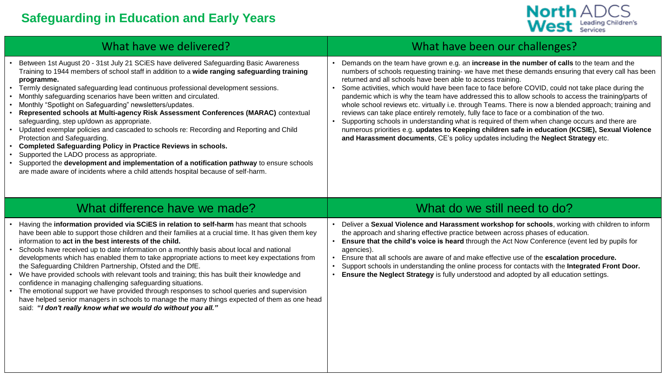

| What have we delivered?                                                                                                                                                                                                                                                                                                                                                                                                                                                                                                                                                                                                                                                                                                                                                                                                                                                                                                                                                                        | What have been our challenges?                                                                                                                                                                                                                                                                                                                                                                                                                                                                                                                                                                                                                                                                                                                                                                                                                                                                                                                                                     |
|------------------------------------------------------------------------------------------------------------------------------------------------------------------------------------------------------------------------------------------------------------------------------------------------------------------------------------------------------------------------------------------------------------------------------------------------------------------------------------------------------------------------------------------------------------------------------------------------------------------------------------------------------------------------------------------------------------------------------------------------------------------------------------------------------------------------------------------------------------------------------------------------------------------------------------------------------------------------------------------------|------------------------------------------------------------------------------------------------------------------------------------------------------------------------------------------------------------------------------------------------------------------------------------------------------------------------------------------------------------------------------------------------------------------------------------------------------------------------------------------------------------------------------------------------------------------------------------------------------------------------------------------------------------------------------------------------------------------------------------------------------------------------------------------------------------------------------------------------------------------------------------------------------------------------------------------------------------------------------------|
| Between 1st August 20 - 31st July 21 SCIES have delivered Safeguarding Basic Awareness<br>Training to 1944 members of school staff in addition to a wide ranging safeguarding training<br>programme.<br>Termly designated safeguarding lead continuous professional development sessions.<br>Monthly safeguarding scenarios have been written and circulated.<br>Monthly "Spotlight on Safeguarding" newsletters/updates.<br>Represented schools at Multi-agency Risk Assessment Conferences (MARAC) contextual<br>safeguarding, step up/down as appropriate.<br>Updated exemplar policies and cascaded to schools re: Recording and Reporting and Child<br>Protection and Safeguarding.<br><b>Completed Safeguarding Policy in Practice Reviews in schools.</b><br>Supported the LADO process as appropriate.<br>Supported the development and implementation of a notification pathway to ensure schools<br>are made aware of incidents where a child attends hospital because of self-harm. | Demands on the team have grown e.g. an <b>increase in the number of calls</b> to the team and the<br>numbers of schools requesting training- we have met these demands ensuring that every call has been<br>returned and all schools have been able to access training.<br>Some activities, which would have been face to face before COVID, could not take place during the<br>pandemic which is why the team have addressed this to allow schools to access the training/parts of<br>whole school reviews etc. virtually i.e. through Teams. There is now a blended approach; training and<br>reviews can take place entirely remotely, fully face to face or a combination of the two.<br>Supporting schools in understanding what is required of them when change occurs and there are<br>numerous priorities e.g. updates to Keeping children safe in education (KCSIE), Sexual Violence<br>and Harassment documents, CE's policy updates including the Neglect Strategy etc. |
| What difference have we made?                                                                                                                                                                                                                                                                                                                                                                                                                                                                                                                                                                                                                                                                                                                                                                                                                                                                                                                                                                  | What do we still need to do?                                                                                                                                                                                                                                                                                                                                                                                                                                                                                                                                                                                                                                                                                                                                                                                                                                                                                                                                                       |
|                                                                                                                                                                                                                                                                                                                                                                                                                                                                                                                                                                                                                                                                                                                                                                                                                                                                                                                                                                                                |                                                                                                                                                                                                                                                                                                                                                                                                                                                                                                                                                                                                                                                                                                                                                                                                                                                                                                                                                                                    |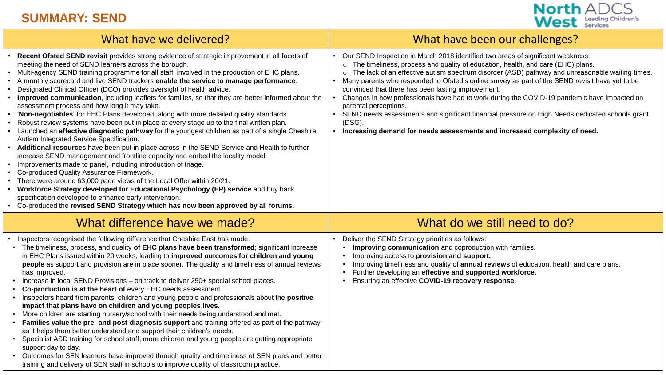#### **SUMMARY: SEND**



| What have we delivered?                                                                                                                                                                                                                                                                                                                                                                                                                                                                                                                                                                                                                                                                                                                                                                                                                                                                                                                                                                                                                                                                                                                                                                                                                                                                                                                                                                                                                                                                                                                                  | What have been our challenges?                                                                                                                                                                                                                                                                                                                                                                                                                                                                                                                                                                                                                                                                                                                       |
|----------------------------------------------------------------------------------------------------------------------------------------------------------------------------------------------------------------------------------------------------------------------------------------------------------------------------------------------------------------------------------------------------------------------------------------------------------------------------------------------------------------------------------------------------------------------------------------------------------------------------------------------------------------------------------------------------------------------------------------------------------------------------------------------------------------------------------------------------------------------------------------------------------------------------------------------------------------------------------------------------------------------------------------------------------------------------------------------------------------------------------------------------------------------------------------------------------------------------------------------------------------------------------------------------------------------------------------------------------------------------------------------------------------------------------------------------------------------------------------------------------------------------------------------------------|------------------------------------------------------------------------------------------------------------------------------------------------------------------------------------------------------------------------------------------------------------------------------------------------------------------------------------------------------------------------------------------------------------------------------------------------------------------------------------------------------------------------------------------------------------------------------------------------------------------------------------------------------------------------------------------------------------------------------------------------------|
| • Recent Ofsted SEND revisit provides strong evidence of strategic improvement in all facets of<br>meeting the need of SEND learners across the borough.<br>• Multi-agency SEND training programme for all staff involved in the production of EHC plans.<br>A monthly scorecard and live SEND trackers enable the service to manage performance.<br>Designated Clinical Officer (DCO) provides oversight of health advice.<br>• Improved communication, including leaflets for families, so that they are better informed about the<br>assessment process and how long it may take.<br>. 'Non-negotiables' for EHC Plans developed, along with more detailed quality standards.<br>Robust review systems have been put in place at every stage up to the final written plan.<br>Launched an effective diagnostic pathway for the youngest children as part of a single Cheshire<br>Autism Integrated Service Specification.<br>• Additional resources have been put in place across in the SEND Service and Health to further<br>increase SEND management and frontline capacity and embed the locality model.<br>• Improvements made to panel, including introduction of triage.<br>Co-produced Quality Assurance Framework.<br>There were around 63,000 page views of the Local Offer within 20/21.<br>Workforce Strategy developed for Educational Psychology (EP) service and buy back<br>$\bullet$<br>specification developed to enhance early intervention.<br>• Co-produced the revised SEND Strategy which has now been approved by all forums. | Our SEND Inspection in March 2018 identified two areas of significant weakness:<br>o The timeliness, process and quality of education, health, and care (EHC) plans.<br>o The lack of an effective autism spectrum disorder (ASD) pathway and unreasonable waiting times.<br>Many parents who responded to Ofsted's online survey as part of the SEND revisit have yet to be<br>convinced that there has been lasting improvement.<br>Changes in how professionals have had to work during the COVID-19 pandemic have impacted on<br>parental perceptions.<br>SEND needs assessments and significant financial pressure on High Needs dedicated schools grant<br>(DSG).<br>Increasing demand for needs assessments and increased complexity of need. |
| What difference have we made?                                                                                                                                                                                                                                                                                                                                                                                                                                                                                                                                                                                                                                                                                                                                                                                                                                                                                                                                                                                                                                                                                                                                                                                                                                                                                                                                                                                                                                                                                                                            | What do we still need to do?                                                                                                                                                                                                                                                                                                                                                                                                                                                                                                                                                                                                                                                                                                                         |
| Inspectors recognised the following difference that Cheshire East has made:<br>• The timeliness, process, and quality of EHC plans have been transformed; significant increase<br>in EHC Plans issued within 20 weeks, leading to improved outcomes for children and young<br>people as support and provision are in place sooner. The quality and timeliness of annual reviews<br>has improved.<br>Increase in local SEND Provisions – on track to deliver 250+ special school places.<br>Co-production is at the heart of every EHC needs assessment.<br>. Inspectors heard from parents, children and young people and professionals about the positive<br>impact that plans have on children and young peoples lives.<br>• More children are starting nursery/school with their needs being understood and met.<br>• Families value the pre- and post-diagnosis support and training offered as part of the pathway<br>as it helps them better understand and support their children's needs.<br>• Specialist ASD training for school staff, more children and young people are getting appropriate<br>support day to day.<br>• Outcomes for SEN learners have improved through quality and timeliness of SEN plans and better<br>training and delivery of SEN staff in schools to improve quality of classroom practice.                                                                                                                                                                                                                            | Deliver the SEND Strategy priorities as follows:<br>Improving communication and coproduction with families.<br>Improving access to provision and support.<br>Improving timeliness and quality of <b>annual reviews</b> of education, health and care plans.<br>Further developing an effective and supported workforce.<br>Ensuring an effective COVID-19 recovery response.                                                                                                                                                                                                                                                                                                                                                                         |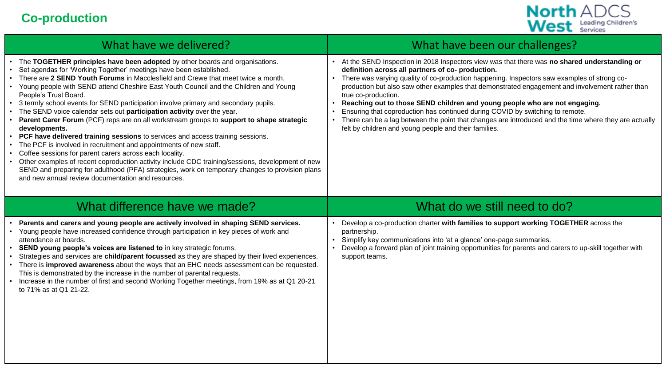#### **Co-production**



| What have we delivered?                                                                                                                                                                                                                                                                                                                                                                                                                                                                                                                                                                                                                                                                                                                                                                                                                                                                                                                                                                                                                                                                                                    | What have been our challenges?                                                                                                                                                                                                                                                                                                                                                                                                                                                                                                                                                                                                                                                                             |
|----------------------------------------------------------------------------------------------------------------------------------------------------------------------------------------------------------------------------------------------------------------------------------------------------------------------------------------------------------------------------------------------------------------------------------------------------------------------------------------------------------------------------------------------------------------------------------------------------------------------------------------------------------------------------------------------------------------------------------------------------------------------------------------------------------------------------------------------------------------------------------------------------------------------------------------------------------------------------------------------------------------------------------------------------------------------------------------------------------------------------|------------------------------------------------------------------------------------------------------------------------------------------------------------------------------------------------------------------------------------------------------------------------------------------------------------------------------------------------------------------------------------------------------------------------------------------------------------------------------------------------------------------------------------------------------------------------------------------------------------------------------------------------------------------------------------------------------------|
| • The TOGETHER principles have been adopted by other boards and organisations.<br>Set agendas for 'Working Together' meetings have been established.<br>There are 2 SEND Youth Forums in Macclesfield and Crewe that meet twice a month.<br>• Young people with SEND attend Cheshire East Youth Council and the Children and Young<br>People's Trust Board.<br>• 3 termly school events for SEND participation involve primary and secondary pupils.<br>The SEND voice calendar sets out participation activity over the year.<br>Parent Carer Forum (PCF) reps are on all workstream groups to support to shape strategic<br>developments.<br>PCF have delivered training sessions to services and access training sessions.<br>The PCF is involved in recruitment and appointments of new staff.<br>Coffee sessions for parent carers across each locality.<br>Other examples of recent coproduction activity include CDC training/sessions, development of new<br>SEND and preparing for adulthood (PFA) strategies, work on temporary changes to provision plans<br>and new annual review documentation and resources. | At the SEND Inspection in 2018 Inspectors view was that there was no shared understanding or<br>definition across all partners of co-production.<br>There was varying quality of co-production happening. Inspectors saw examples of strong co-<br>production but also saw other examples that demonstrated engagement and involvement rather than<br>true co-production.<br>Reaching out to those SEND children and young people who are not engaging.<br>Ensuring that coproduction has continued during COVID by switching to remote.<br>There can be a lag between the point that changes are introduced and the time where they are actually<br>felt by children and young people and their families. |
| What difference have we made?                                                                                                                                                                                                                                                                                                                                                                                                                                                                                                                                                                                                                                                                                                                                                                                                                                                                                                                                                                                                                                                                                              | What do we still need to do?                                                                                                                                                                                                                                                                                                                                                                                                                                                                                                                                                                                                                                                                               |
| Parents and carers and young people are actively involved in shaping SEND services.<br>• Young people have increased confidence through participation in key pieces of work and<br>attendance at boards.<br>• SEND young people's voices are listened to in key strategic forums.<br>Strategies and services are child/parent focussed as they are shaped by their lived experiences.<br>• There is improved awareness about the ways that an EHC needs assessment can be requested.<br>This is demonstrated by the increase in the number of parental requests.<br>• Increase in the number of first and second Working Together meetings, from 19% as at Q1 20-21<br>to 71% as at Q1 21-22.                                                                                                                                                                                                                                                                                                                                                                                                                              | Develop a co-production charter with families to support working TOGETHER across the<br>partnership.<br>Simplify key communications into 'at a glance' one-page summaries.<br>Develop a forward plan of joint training opportunities for parents and carers to up-skill together with<br>support teams.                                                                                                                                                                                                                                                                                                                                                                                                    |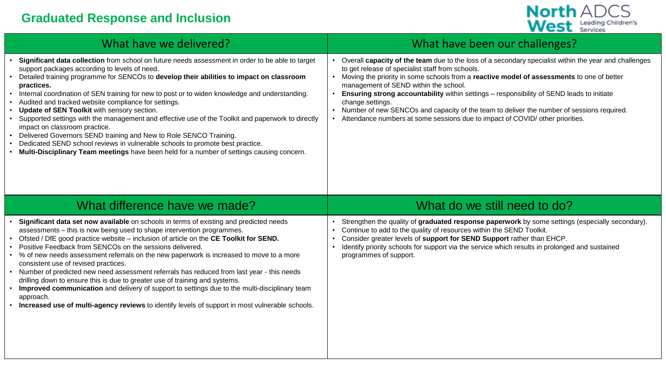#### **Graduated Response and Inclusion**



| What have we delivered?                                                                                                                                                                                                                                                                                                                                                                                                                                                                                                                                                                                                                                                                                                                                                                                                                                       | What have been our challenges?                                                                                                                                                                                                                                                                                                                                                                                                                                                                                                                                                                        |
|---------------------------------------------------------------------------------------------------------------------------------------------------------------------------------------------------------------------------------------------------------------------------------------------------------------------------------------------------------------------------------------------------------------------------------------------------------------------------------------------------------------------------------------------------------------------------------------------------------------------------------------------------------------------------------------------------------------------------------------------------------------------------------------------------------------------------------------------------------------|-------------------------------------------------------------------------------------------------------------------------------------------------------------------------------------------------------------------------------------------------------------------------------------------------------------------------------------------------------------------------------------------------------------------------------------------------------------------------------------------------------------------------------------------------------------------------------------------------------|
| Significant data collection from school on future needs assessment in order to be able to target<br>support packages according to levels of need.<br>Detailed training programme for SENCOs to develop their abilities to impact on classroom<br>practices.<br>Internal coordination of SEN training for new to post or to widen knowledge and understanding.<br>Audited and tracked website compliance for settings.<br>Update of SEN Toolkit with sensory section.<br>Supported settings with the management and effective use of the Toolkit and paperwork to directly<br>impact on classroom practice.<br>Delivered Governors SEND training and New to Role SENCO Training.<br>Dedicated SEND school reviews in vulnerable schools to promote best practice.<br>Multi-Disciplinary Team meetings have been held for a number of settings causing concern. | Overall capacity of the team due to the loss of a secondary specialist within the year and challenges<br>to get release of specialist staff from schools.<br>Moving the priority in some schools from a reactive model of assessments to one of better<br>management of SEND within the school.<br><b>Ensuring strong accountability within settings - responsibility of SEND leads to initiate</b><br>change.settings.<br>Number of new SENCOs and capacity of the team to deliver the number of sessions required.<br>Attendance numbers at some sessions due to impact of COVID/ other priorities. |
| What difference have we made?                                                                                                                                                                                                                                                                                                                                                                                                                                                                                                                                                                                                                                                                                                                                                                                                                                 | What do we still need to do?                                                                                                                                                                                                                                                                                                                                                                                                                                                                                                                                                                          |
| Significant data set now available on schools in terms of existing and predicted needs<br>assessments - this is now being used to shape intervention programmes.<br>Ofsted / DfE good practice website – inclusion of article on the CE Toolkit for SEND.<br>Positive Feedback from SENCOs on the sessions delivered.<br>% of new needs assessment referrals on the new paperwork is increased to move to a more<br>consistent use of revised practices.<br>Number of predicted new need assessment referrals has reduced from last year - this needs<br>drilling down to ensure this is due to greater use of training and systems.<br>Improved communication and delivery of support to settings due to the multi-disciplinary team<br>approach.<br>Increased use of multi-agency reviews to identify levels of support in most vulnerable schools.         | Strengthen the quality of graduated response paperwork by some settings (especially secondary).<br>Continue to add to the quality of resources within the SEND Toolkit.<br>$\bullet$<br>Consider greater levels of support for SEND Support rather than EHCP.<br>Identify priority schools for support via the service which results in prolonged and sustained<br>programmes of support.                                                                                                                                                                                                             |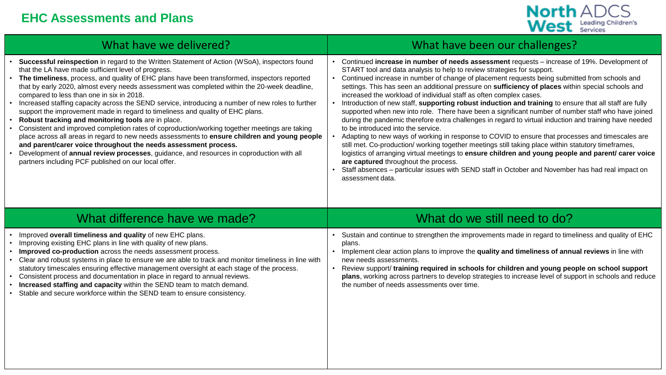

| What have we delivered?                                                                                                                                                                                                                                                                                                                                                                                                                                                                                                                                                                                                                                                                                                                                                                                                                                                                                                                                                                                                                                                           | What have been our challenges?                                                                                                                                                                                                                                                                                                                                                                                                                                                                                                                                                                                                                                                                                                                                                                                                                                                                                                                                                                                                                                                                                                                                                                                                                                                                        |
|-----------------------------------------------------------------------------------------------------------------------------------------------------------------------------------------------------------------------------------------------------------------------------------------------------------------------------------------------------------------------------------------------------------------------------------------------------------------------------------------------------------------------------------------------------------------------------------------------------------------------------------------------------------------------------------------------------------------------------------------------------------------------------------------------------------------------------------------------------------------------------------------------------------------------------------------------------------------------------------------------------------------------------------------------------------------------------------|-------------------------------------------------------------------------------------------------------------------------------------------------------------------------------------------------------------------------------------------------------------------------------------------------------------------------------------------------------------------------------------------------------------------------------------------------------------------------------------------------------------------------------------------------------------------------------------------------------------------------------------------------------------------------------------------------------------------------------------------------------------------------------------------------------------------------------------------------------------------------------------------------------------------------------------------------------------------------------------------------------------------------------------------------------------------------------------------------------------------------------------------------------------------------------------------------------------------------------------------------------------------------------------------------------|
| • Successful reinspection in regard to the Written Statement of Action (WSoA), inspectors found<br>that the LA have made sufficient level of progress.<br>• The timeliness, process, and quality of EHC plans have been transformed, inspectors reported<br>that by early 2020, almost every needs assessment was completed within the 20-week deadline,<br>compared to less than one in six in 2018.<br>• Increased staffing capacity across the SEND service, introducing a number of new roles to further<br>support the improvement made in regard to timeliness and quality of EHC plans.<br>• Robust tracking and monitoring tools are in place.<br>Consistent and improved completion rates of coproduction/working together meetings are taking<br>place across all areas in regard to new needs assessments to ensure children and young people<br>and parent/carer voice throughout the needs assessment process.<br>• Development of annual review processes, guidance, and resources in coproduction with all<br>partners including PCF published on our local offer. | Continued increase in number of needs assessment requests - increase of 19%. Development of<br>START tool and data analysis to help to review strategies for support.<br>Continued increase in number of change of placement requests being submitted from schools and<br>settings. This has seen an additional pressure on sufficiency of places within special schools and<br>increased the workload of individual staff as often complex cases.<br>Introduction of new staff, supporting robust induction and training to ensure that all staff are fully<br>supported when new into role. There have been a significant number of number staff who have joined<br>during the pandemic therefore extra challenges in regard to virtual induction and training have needed<br>to be introduced into the service.<br>Adapting to new ways of working in response to COVID to ensure that processes and timescales are<br>still met. Co-production/ working together meetings still taking place within statutory timeframes,<br>logistics of arranging virtual meetings to ensure children and young people and parent/ carer voice<br>are captured throughout the process.<br>Staff absences - particular issues with SEND staff in October and November has had real impact on<br>assessment data. |
| What difference have we made?                                                                                                                                                                                                                                                                                                                                                                                                                                                                                                                                                                                                                                                                                                                                                                                                                                                                                                                                                                                                                                                     | What do we still need to do?                                                                                                                                                                                                                                                                                                                                                                                                                                                                                                                                                                                                                                                                                                                                                                                                                                                                                                                                                                                                                                                                                                                                                                                                                                                                          |
| . Improved overall timeliness and quality of new EHC plans.<br>• Improving existing EHC plans in line with quality of new plans.<br>Improved co-production across the needs assessment process.<br>Clear and robust systems in place to ensure we are able to track and monitor timeliness in line with<br>$\bullet$<br>statutory timescales ensuring effective management oversight at each stage of the process.<br>Consistent process and documentation in place in regard to annual reviews.<br>Increased staffing and capacity within the SEND team to match demand.<br>Stable and secure workforce within the SEND team to ensure consistency.                                                                                                                                                                                                                                                                                                                                                                                                                              | Sustain and continue to strengthen the improvements made in regard to timeliness and quality of EHC<br>plans.<br>Implement clear action plans to improve the quality and timeliness of annual reviews in line with<br>new needs assessments.<br>Review support/ training required in schools for children and young people on school support<br>plans, working across partners to develop strategies to increase level of support in schools and reduce<br>the number of needs assessments over time.                                                                                                                                                                                                                                                                                                                                                                                                                                                                                                                                                                                                                                                                                                                                                                                                 |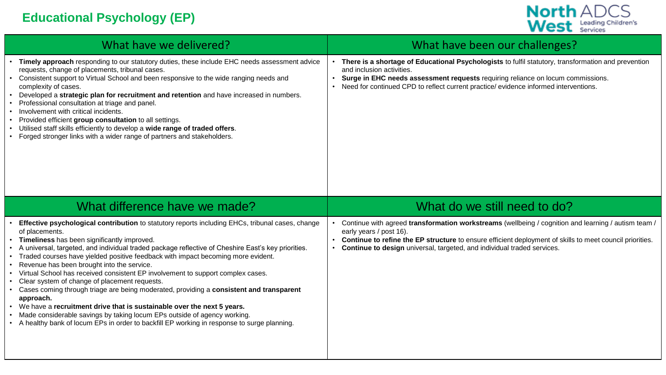#### **Educational Psychology (EP)**



| What have we delivered?                                                                                                                                                                                                                                                                                                                                                                                                                                                                                                                                                                                                                                                    | What have been our challenges?                                                                                                                                                                                                                                                                                        |
|----------------------------------------------------------------------------------------------------------------------------------------------------------------------------------------------------------------------------------------------------------------------------------------------------------------------------------------------------------------------------------------------------------------------------------------------------------------------------------------------------------------------------------------------------------------------------------------------------------------------------------------------------------------------------|-----------------------------------------------------------------------------------------------------------------------------------------------------------------------------------------------------------------------------------------------------------------------------------------------------------------------|
| Timely approach responding to our statutory duties, these include EHC needs assessment advice<br>requests, change of placements, tribunal cases.<br>Consistent support to Virtual School and been responsive to the wide ranging needs and<br>complexity of cases.<br>Developed a strategic plan for recruitment and retention and have increased in numbers.<br>Professional consultation at triage and panel.<br>Involvement with critical incidents.<br>Provided efficient group consultation to all settings.<br>Utilised staff skills efficiently to develop a wide range of traded offers.<br>Forged stronger links with a wider range of partners and stakeholders. | There is a shortage of Educational Psychologists to fulfil statutory, transformation and prevention<br>and inclusion activities.<br>Surge in EHC needs assessment requests requiring reliance on locum commissions.<br>Need for continued CPD to reflect current practice/ evidence informed interventions.           |
| What difference have we made?                                                                                                                                                                                                                                                                                                                                                                                                                                                                                                                                                                                                                                              | What do we still need to do?                                                                                                                                                                                                                                                                                          |
| Effective psychological contribution to statutory reports including EHCs, tribunal cases, change<br>of placements.<br>Timeliness has been significantly improved.<br>A universal, targeted, and individual traded package reflective of Cheshire East's key priorities.<br>Traded courses have yielded positive feedback with impact becoming more evident.<br>Revenue has been brought into the service.<br>Virtual School has received consistent EP involvement to support complex cases.                                                                                                                                                                               | Continue with agreed transformation workstreams (wellbeing / cognition and learning / autism team /<br>early years / post 16).<br>Continue to refine the EP structure to ensure efficient deployment of skills to meet council priorities.<br>Continue to design universal, targeted, and individual traded services. |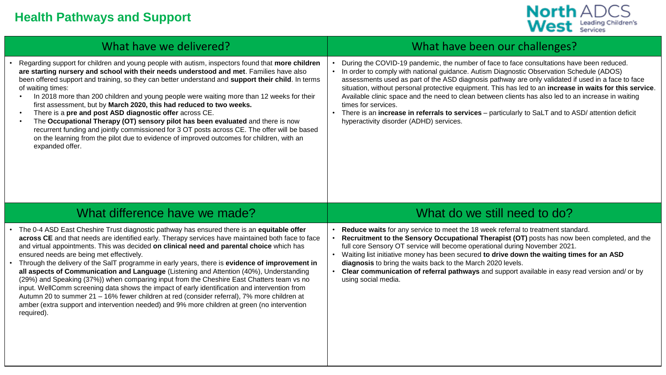

| What have we delivered?                                                                                                                                                                                                                                                                                                                                                                                                                                                                                                                                                                                                                                                                                                                                                                                                                                  | What have been our challenges?                                                                                                                                                                                                                                                                                                                                                                                                                                                                                                                                                                                                                                                           |
|----------------------------------------------------------------------------------------------------------------------------------------------------------------------------------------------------------------------------------------------------------------------------------------------------------------------------------------------------------------------------------------------------------------------------------------------------------------------------------------------------------------------------------------------------------------------------------------------------------------------------------------------------------------------------------------------------------------------------------------------------------------------------------------------------------------------------------------------------------|------------------------------------------------------------------------------------------------------------------------------------------------------------------------------------------------------------------------------------------------------------------------------------------------------------------------------------------------------------------------------------------------------------------------------------------------------------------------------------------------------------------------------------------------------------------------------------------------------------------------------------------------------------------------------------------|
| Regarding support for children and young people with autism, inspectors found that more children<br>are starting nursery and school with their needs understood and met. Families have also<br>been offered support and training, so they can better understand and support their child. In terms<br>of waiting times:<br>In 2018 more than 200 children and young people were waiting more than 12 weeks for their<br>first assessment, but by March 2020, this had reduced to two weeks.<br>There is a pre and post ASD diagnostic offer across CE.<br>The Occupational Therapy (OT) sensory pilot has been evaluated and there is now<br>recurrent funding and jointly commissioned for 3 OT posts across CE. The offer will be based<br>on the learning from the pilot due to evidence of improved outcomes for children, with an<br>expanded offer. | During the COVID-19 pandemic, the number of face to face consultations have been reduced.<br>• In order to comply with national guidance. Autism Diagnostic Observation Schedule (ADOS)<br>assessments used as part of the ASD diagnosis pathway are only validated if used in a face to face<br>situation, without personal protective equipment. This has led to an increase in waits for this service.<br>Available clinic space and the need to clean between clients has also led to an increase in waiting<br>times for services.<br>There is an increase in referrals to services - particularly to SaLT and to ASD/ attention deficit<br>hyperactivity disorder (ADHD) services. |
|                                                                                                                                                                                                                                                                                                                                                                                                                                                                                                                                                                                                                                                                                                                                                                                                                                                          |                                                                                                                                                                                                                                                                                                                                                                                                                                                                                                                                                                                                                                                                                          |
| What difference have we made?                                                                                                                                                                                                                                                                                                                                                                                                                                                                                                                                                                                                                                                                                                                                                                                                                            | What do we still need to do?                                                                                                                                                                                                                                                                                                                                                                                                                                                                                                                                                                                                                                                             |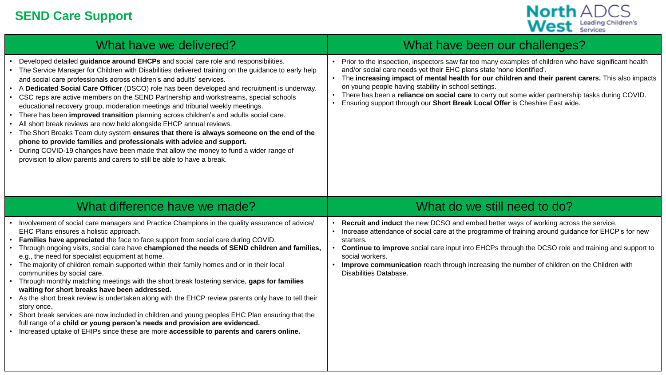#### **SEND Care Support**



| What have we delivered?                                                                                                                                                                                                                                                                                                                                                                                                                                                                                                                                                                                                                                                                                                                                                                                                                                                                                                                                                                                                                                                   | What have been our challenges?                                                                                                                                                                                                                                                                                                                                                                                                                                                                                                  |
|---------------------------------------------------------------------------------------------------------------------------------------------------------------------------------------------------------------------------------------------------------------------------------------------------------------------------------------------------------------------------------------------------------------------------------------------------------------------------------------------------------------------------------------------------------------------------------------------------------------------------------------------------------------------------------------------------------------------------------------------------------------------------------------------------------------------------------------------------------------------------------------------------------------------------------------------------------------------------------------------------------------------------------------------------------------------------|---------------------------------------------------------------------------------------------------------------------------------------------------------------------------------------------------------------------------------------------------------------------------------------------------------------------------------------------------------------------------------------------------------------------------------------------------------------------------------------------------------------------------------|
| Developed detailed guidance around EHCPs and social care role and responsibilities.<br>• The Service Manager for Children with Disabilities delivered training on the guidance to early help<br>and social care professionals across children's and adults' services.<br>• A Dedicated Social Care Officer (DSCO) role has been developed and recruitment is underway.<br>• CSC reps are active members on the SEND Partnership and workstreams, special schools<br>educational recovery group, moderation meetings and tribunal weekly meetings.<br>• There has been improved transition planning across children's and adults social care.<br>All short break reviews are now held alongside EHCP annual reviews.<br>The Short Breaks Team duty system ensures that there is always someone on the end of the<br>phone to provide families and professionals with advice and support.<br>• During COVID-19 changes have been made that allow the money to fund a wider range of<br>provision to allow parents and carers to still be able to have a break.              | Prior to the inspection, inspectors saw far too many examples of children who have significant health<br>and/or social care needs yet their EHC plans state 'none identified'.<br>The increasing impact of mental health for our children and their parent carers. This also impacts<br>on young people having stability in school settings.<br>There has been a reliance on social care to carry out some wider partnership tasks during COVID.<br>Ensuring support through our Short Break Local Offer is Cheshire East wide. |
| What difference have we made?                                                                                                                                                                                                                                                                                                                                                                                                                                                                                                                                                                                                                                                                                                                                                                                                                                                                                                                                                                                                                                             | What do we still need to do?                                                                                                                                                                                                                                                                                                                                                                                                                                                                                                    |
| • Involvement of social care managers and Practice Champions in the quality assurance of advice/<br>EHC Plans ensures a holistic approach.<br>Families have appreciated the face to face support from social care during COVID.<br>Through ongoing visits, social care have championed the needs of SEND children and families,<br>e.g., the need for specialist equipment at home.<br>• The majority of children remain supported within their family homes and or in their local<br>communities by social care.<br>• Through monthly matching meetings with the short break fostering service, gaps for families<br>waiting for short breaks have been addressed.<br>• As the short break review is undertaken along with the EHCP review parents only have to tell their<br>story once.<br>• Short break services are now included in children and young peoples EHC Plan ensuring that the<br>full range of a child or young person's needs and provision are evidenced.<br>• Increased uptake of EHIPs since these are more accessible to parents and carers online. | Recruit and induct the new DCSO and embed better ways of working across the service.<br>Increase attendance of social care at the programme of training around guidance for EHCP's for new<br>starters.<br>Continue to improve social care input into EHCPs through the DCSO role and training and support to<br>social workers.<br>Improve communication reach through increasing the number of children on the Children with<br>Disabilities Database.                                                                        |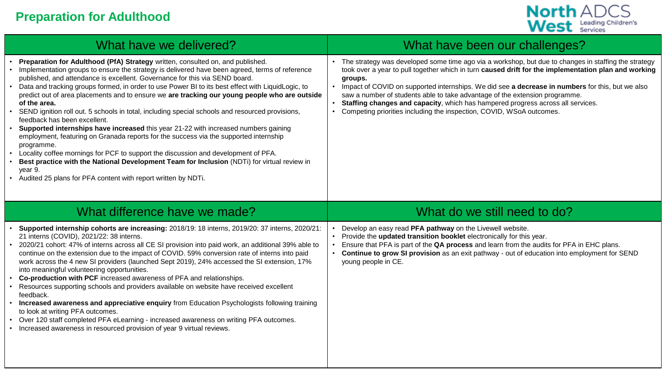

| What have we delivered?                                                                                                                                                                                                                                                                                                                                                                                                                                                                                                                                                                                                                                                                                                                                                                                                                                                                                                                                                                                                                                                                 | What have been our challenges?                                                                                                                                                                                                                                                                                                                                                                                                                                                                                                                                        |
|-----------------------------------------------------------------------------------------------------------------------------------------------------------------------------------------------------------------------------------------------------------------------------------------------------------------------------------------------------------------------------------------------------------------------------------------------------------------------------------------------------------------------------------------------------------------------------------------------------------------------------------------------------------------------------------------------------------------------------------------------------------------------------------------------------------------------------------------------------------------------------------------------------------------------------------------------------------------------------------------------------------------------------------------------------------------------------------------|-----------------------------------------------------------------------------------------------------------------------------------------------------------------------------------------------------------------------------------------------------------------------------------------------------------------------------------------------------------------------------------------------------------------------------------------------------------------------------------------------------------------------------------------------------------------------|
| Preparation for Adulthood (PfA) Strategy written, consulted on, and published.<br>Implementation groups to ensure the strategy is delivered have been agreed, terms of reference<br>published, and attendance is excellent. Governance for this via SEND board.<br>Data and tracking groups formed, in order to use Power BI to its best effect with LiquidLogic, to<br>predict out of area placements and to ensure we are tracking our young people who are outside<br>of the area.<br>SEND ignition roll out. 5 schools in total, including special schools and resourced provisions,<br>feedback has been excellent.<br>Supported internships have increased this year 21-22 with increased numbers gaining<br>employment, featuring on Granada reports for the success via the supported internship<br>programme.<br>Locality coffee mornings for PCF to support the discussion and development of PFA.<br>Best practice with the National Development Team for Inclusion (NDTi) for virtual review in<br>year 9.<br>Audited 25 plans for PFA content with report written by NDTi. | The strategy was developed some time ago via a workshop, but due to changes in staffing the strategy<br>took over a year to pull together which in turn caused drift for the implementation plan and working<br>groups.<br>Impact of COVID on supported internships. We did see a decrease in numbers for this, but we also<br>saw a number of students able to take advantage of the extension programme.<br>Staffing changes and capacity, which has hampered progress across all services.<br>Competing priorities including the inspection, COVID, WSoA outcomes. |
| What difference have we made?                                                                                                                                                                                                                                                                                                                                                                                                                                                                                                                                                                                                                                                                                                                                                                                                                                                                                                                                                                                                                                                           | What do we still need to do?                                                                                                                                                                                                                                                                                                                                                                                                                                                                                                                                          |
| Supported internship cohorts are increasing: 2018/19: 18 interns, 2019/20: 37 interns, 2020/21:<br>21 interns (COVID), 2021/22: 38 interns.<br>2020/21 cohort: 47% of interns across all CE SI provision into paid work, an additional 39% able to<br>continue on the extension due to the impact of COVID. 59% conversion rate of interns into paid<br>work across the 4 new SI providers (launched Sept 2019), 24% accessed the SI extension, 17%<br>into meaningful volunteering opportunities.                                                                                                                                                                                                                                                                                                                                                                                                                                                                                                                                                                                      | Develop an easy read PFA pathway on the Livewell website.<br>Provide the updated transition booklet electronically for this year.<br>Ensure that PFA is part of the QA process and learn from the audits for PFA in EHC plans.<br>Continue to grow SI provision as an exit pathway - out of education into employment for SEND<br>young people in CE.                                                                                                                                                                                                                 |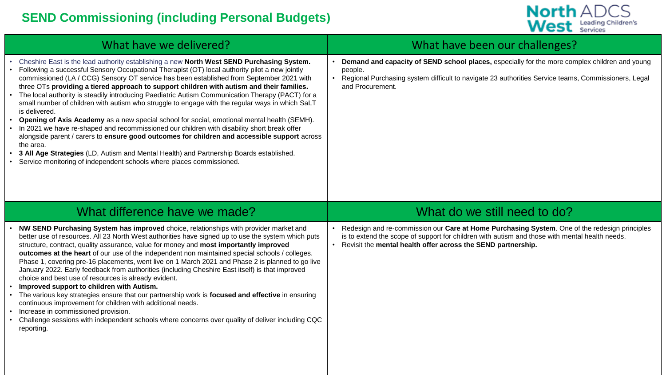## **SEND Commissioning (including Personal Budgets)**



| What have we delivered?                                                                                                                                                                                                                                                                                                                                                                                                                                                                                                                                                                                                                                                                                                                                                                                                                                                                                                                                                                                                                                                                    | What have been our challenges?                                                                                                                                                                                                                                  |
|--------------------------------------------------------------------------------------------------------------------------------------------------------------------------------------------------------------------------------------------------------------------------------------------------------------------------------------------------------------------------------------------------------------------------------------------------------------------------------------------------------------------------------------------------------------------------------------------------------------------------------------------------------------------------------------------------------------------------------------------------------------------------------------------------------------------------------------------------------------------------------------------------------------------------------------------------------------------------------------------------------------------------------------------------------------------------------------------|-----------------------------------------------------------------------------------------------------------------------------------------------------------------------------------------------------------------------------------------------------------------|
| Cheshire East is the lead authority establishing a new North West SEND Purchasing System.<br>Following a successful Sensory Occupational Therapist (OT) local authority pilot a new jointly<br>commissioned (LA / CCG) Sensory OT service has been established from September 2021 with<br>three OTs providing a tiered approach to support children with autism and their families.<br>The local authority is steadily introducing Paediatric Autism Communication Therapy (PACT) for a<br>small number of children with autism who struggle to engage with the regular ways in which SaLT<br>is delivered.<br>Opening of Axis Academy as a new special school for social, emotional mental health (SEMH).<br>In 2021 we have re-shaped and recommissioned our children with disability short break offer<br>alongside parent / carers to ensure good outcomes for children and accessible support across<br>the area.<br>3 All Age Strategies (LD, Autism and Mental Health) and Partnership Boards established.<br>Service monitoring of independent schools where places commissioned. | Demand and capacity of SEND school places, especially for the more complex children and young<br>people.<br>Regional Purchasing system difficult to navigate 23 authorities Service teams, Commissioners, Legal<br>and Procurement.                             |
| What difference have we made?                                                                                                                                                                                                                                                                                                                                                                                                                                                                                                                                                                                                                                                                                                                                                                                                                                                                                                                                                                                                                                                              | What do we still need to do?                                                                                                                                                                                                                                    |
| NW SEND Purchasing System has improved choice, relationships with provider market and<br>better use of resources. All 23 North West authorities have signed up to use the system which puts<br>structure, contract, quality assurance, value for money and most importantly improved<br>outcomes at the heart of our use of the independent non maintained special schools / colleges.<br>Phase 1, covering pre-16 placements, went live on 1 March 2021 and Phase 2 is planned to go live<br>January 2022. Early feedback from authorities (including Cheshire East itself) is that improved<br>choice and best use of resources is already evident.<br>Improved support to children with Autism.<br>The various key strategies ensure that our partnership work is focused and effective in ensuring<br>continuous improvement for children with additional needs.<br>Increase in commissioned provision.<br>Challenge sessions with independent schools where concerns over quality of deliver including CQC<br>reporting.                                                              | Redesign and re-commission our Care at Home Purchasing System. One of the redesign principles<br>is to extend the scope of support for children with autism and those with mental health needs.<br>Revisit the mental health offer across the SEND partnership. |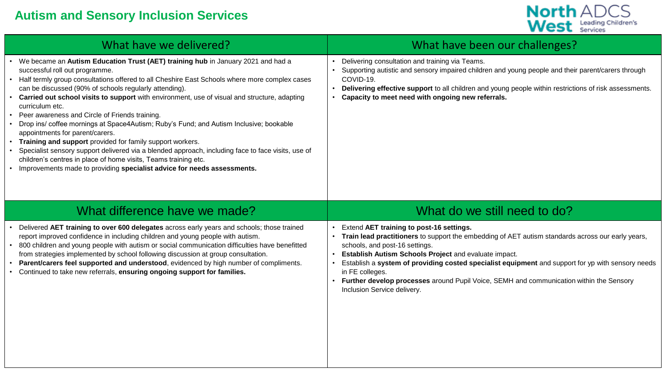#### **Autism and Sensory Inclusion Services**



| What have we delivered?                                                                                                                                                                                                                                                                                                                                                                                                                                                                                                                                                                                                                                                                                                                                                                                                                                                                          | What have been our challenges?                                                                                                                                                                                                                                                                                                                 |
|--------------------------------------------------------------------------------------------------------------------------------------------------------------------------------------------------------------------------------------------------------------------------------------------------------------------------------------------------------------------------------------------------------------------------------------------------------------------------------------------------------------------------------------------------------------------------------------------------------------------------------------------------------------------------------------------------------------------------------------------------------------------------------------------------------------------------------------------------------------------------------------------------|------------------------------------------------------------------------------------------------------------------------------------------------------------------------------------------------------------------------------------------------------------------------------------------------------------------------------------------------|
| We became an Autism Education Trust (AET) training hub in January 2021 and had a<br>successful roll out programme.<br>Half termly group consultations offered to all Cheshire East Schools where more complex cases<br>can be discussed (90% of schools regularly attending).<br>Carried out school visits to support with environment, use of visual and structure, adapting<br>curriculum etc.<br>Peer awareness and Circle of Friends training.<br>Drop ins/ coffee mornings at Space4Autism; Ruby's Fund; and Autism Inclusive; bookable<br>appointments for parent/carers.<br>Training and support provided for family support workers.<br>Specialist sensory support delivered via a blended approach, including face to face visits, use of<br>children's centres in place of home visits, Teams training etc.<br>Improvements made to providing specialist advice for needs assessments. | Delivering consultation and training via Teams.<br>Supporting autistic and sensory impaired children and young people and their parent/carers through<br>COVID-19.<br>Delivering effective support to all children and young people within restrictions of risk assessments.<br>$\bullet$<br>Capacity to meet need with ongoing new referrals. |
| What difference have we made?                                                                                                                                                                                                                                                                                                                                                                                                                                                                                                                                                                                                                                                                                                                                                                                                                                                                    | What do we still need to do?                                                                                                                                                                                                                                                                                                                   |
| Delivered AET training to over 600 delegates across early years and schools; those trained                                                                                                                                                                                                                                                                                                                                                                                                                                                                                                                                                                                                                                                                                                                                                                                                       | Extend AET training to post-16 settings.                                                                                                                                                                                                                                                                                                       |